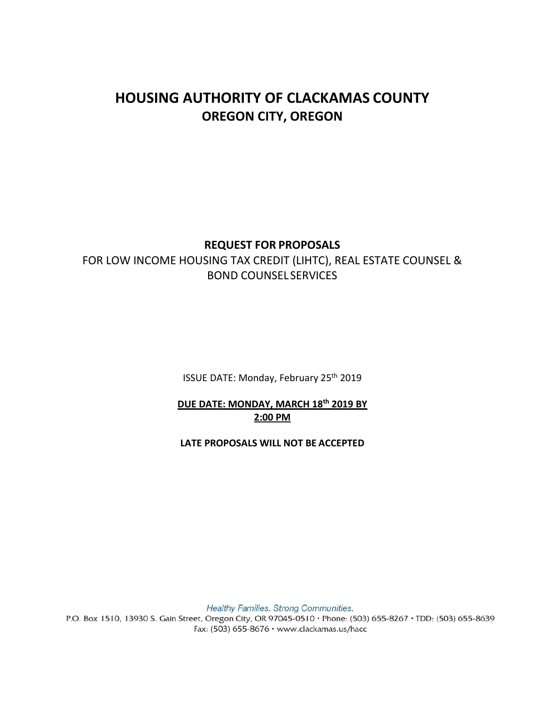# **HOUSING AUTHORITY OF CLACKAMAS COUNTY OREGON CITY, OREGON**

## **REQUEST FOR PROPOSALS**

# FOR LOW INCOME HOUSING TAX CREDIT (LIHTC), REAL ESTATE COUNSEL & BOND COUNSELSERVICES

ISSUE DATE: Monday, February 25th 2019

**DUE DATE: MONDAY, MARCH 18th 2019 BY 2:00 PM**

**LATE PROPOSALS WILL NOT BE ACCEPTED**

Healthy Families. Strong Communities. P.O. Box 1510, 13930 S. Gain Street, Oregon City, OR 97045-0510 · Phone: (503) 655-8267 · TDD: (503) 655-8639 Fax:  $(503)$  655-8676  $\cdot$  www.clackamas.us/hacc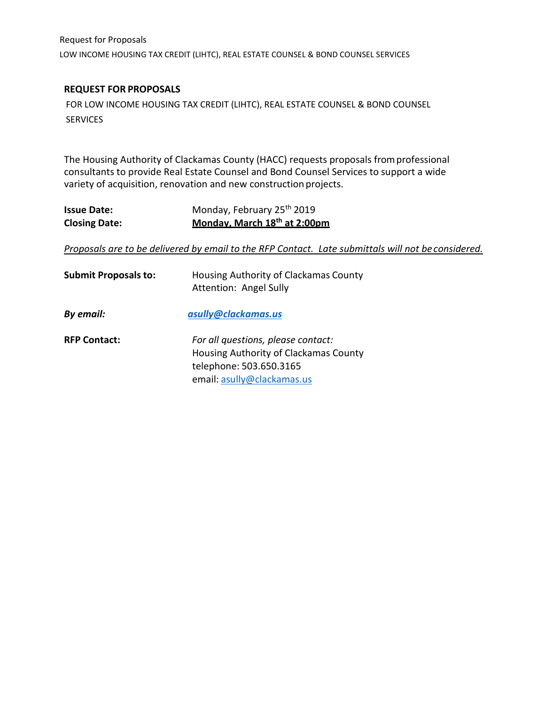## **REQUEST FOR PROPOSALS**

FOR LOW INCOME HOUSING TAX CREDIT (LIHTC), REAL ESTATE COUNSEL & BOND COUNSEL **SERVICES** 

The Housing Authority of Clackamas County (HACC) requests proposals fromprofessional consultants to provide Real Estate Counsel and Bond Counsel Services to support a wide variety of acquisition, renovation and new construction projects.

| <b>Issue Date:</b>   | Monday, February 25 <sup>th</sup> 2019   |
|----------------------|------------------------------------------|
| <b>Closing Date:</b> | Monday, March 18 <sup>th</sup> at 2:00pm |

*Proposals are to be delivered by email to the RFP Contact. Late submittals will not be considered.*

| <b>Submit Proposals to:</b> | Housing Authority of Clackamas County<br>Attention: Angel Sully                                                                      |
|-----------------------------|--------------------------------------------------------------------------------------------------------------------------------------|
| By email:                   | asully@clackamas.us                                                                                                                  |
| <b>RFP Contact:</b>         | For all questions, please contact:<br>Housing Authority of Clackamas County<br>telephone: 503.650.3165<br>email: asully@clackamas.us |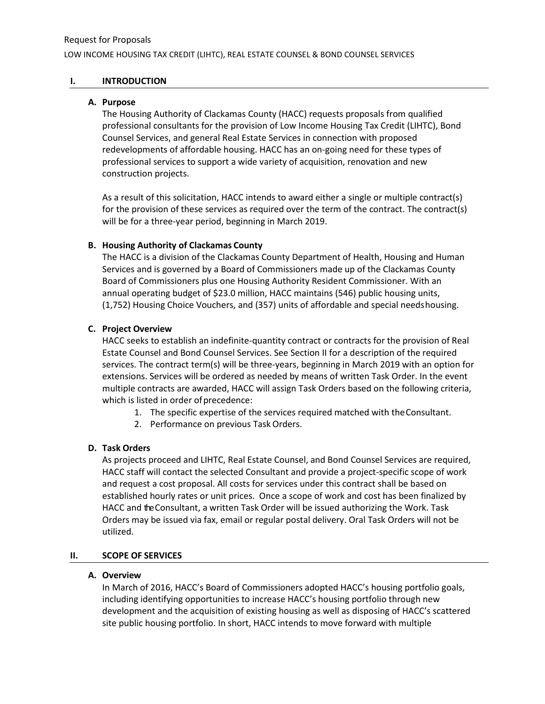## Request for Proposals LOW INCOME HOUSING TAX CREDIT (LIHTC), REAL ESTATE COUNSEL & BOND COUNSEL SERVICES

## **I. INTRODUCTION**

## **A. Purpose**

The Housing Authority of Clackamas County (HACC) requests proposals from qualified professional consultants for the provision of Low Income Housing Tax Credit (LIHTC), Bond Counsel Services, and general Real Estate Services in connection with proposed redevelopments of affordable housing. HACC has an on-going need for these types of professional services to support a wide variety of acquisition, renovation and new construction projects.

As a result of this solicitation, HACC intends to award either a single or multiple contract(s) for the provision of these services as required over the term of the contract. The contract(s) will be for a three-year period, beginning in March 2019.

## **B. Housing Authority of Clackamas County**

The HACC is a division of the Clackamas County Department of Health, Housing and Human Services and is governed by a Board of Commissioners made up of the Clackamas County Board of Commissioners plus one Housing Authority Resident Commissioner. With an annual operating budget of \$23.0 million, HACC maintains (546) public housing units, (1,752) Housing Choice Vouchers, and (357) units of affordable and special needshousing.

## **C. Project Overview**

HACC seeks to establish an indefinite-quantity contract or contracts for the provision of Real Estate Counsel and Bond Counsel Services. See Section II for a description of the required services. The contract term(s) will be three-years, beginning in March 2019 with an option for extensions. Services will be ordered as needed by means of written Task Order. In the event multiple contracts are awarded, HACC will assign Task Orders based on the following criteria, which is listed in order of precedence:

- 1. The specific expertise of the services required matched with theConsultant.
- 2. Performance on previous Task Orders.

## **D. Task Orders**

As projects proceed and LIHTC, Real Estate Counsel, and Bond Counsel Services are required, HACC staff will contact the selected Consultant and provide a project-specific scope of work and request a cost proposal. All costs for services under this contract shall be based on established hourly rates or unit prices. Once a scope of work and cost has been finalized by HACC and theConsultant, a written Task Order will be issued authorizing the Work. Task Orders may be issued via fax, email or regular postal delivery. Oral Task Orders will not be utilized.

## **II. SCOPE OF SERVICES**

## **A. Overview**

In March of 2016, HACC's Board of Commissioners adopted HACC's housing portfolio goals, including identifying opportunities to increase HACC's housing portfolio through new development and the acquisition of existing housing as well as disposing of HACC's scattered site public housing portfolio. In short, HACC intends to move forward with multiple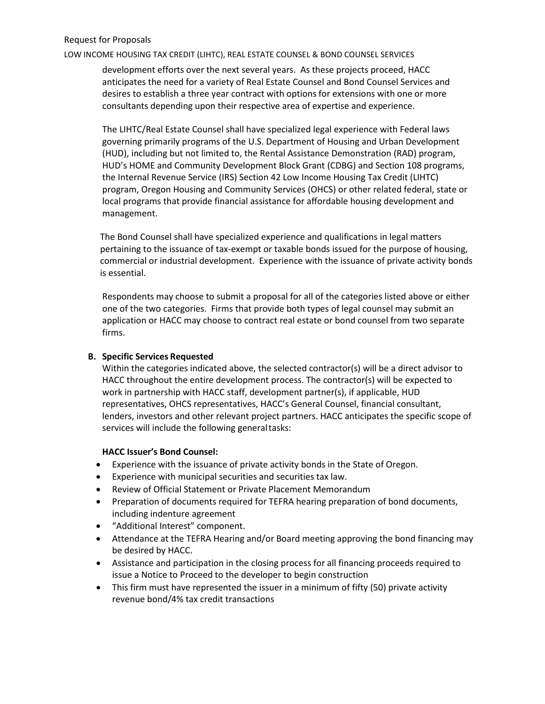#### LOW INCOME HOUSING TAX CREDIT (LIHTC), REAL ESTATE COUNSEL & BOND COUNSEL SERVICES

development efforts over the next several years. As these projects proceed, HACC anticipates the need for a variety of Real Estate Counsel and Bond Counsel Services and desires to establish a three year contract with options for extensions with one or more consultants depending upon their respective area of expertise and experience.

The LIHTC/Real Estate Counsel shall have specialized legal experience with Federal laws governing primarily programs of the U.S. Department of Housing and Urban Development (HUD), including but not limited to, the Rental Assistance Demonstration (RAD) program, HUD's HOME and Community Development Block Grant (CDBG) and Section 108 programs, the Internal Revenue Service (IRS) Section 42 Low Income Housing Tax Credit (LIHTC) program, Oregon Housing and Community Services (OHCS) or other related federal, state or local programs that provide financial assistance for affordable housing development and management.

The Bond Counsel shall have specialized experience and qualifications in legal matters pertaining to the issuance of tax-exempt or taxable bonds issued for the purpose of housing, commercial or industrial development. Experience with the issuance of private activity bonds is essential.

Respondents may choose to submit a proposal for all of the categories listed above or either one of the two categories. Firms that provide both types of legal counsel may submit an application or HACC may choose to contract real estate or bond counsel from two separate firms.

#### **B. Specific Services Requested**

Within the categories indicated above, the selected contractor(s) will be a direct advisor to HACC throughout the entire development process. The contractor(s) will be expected to work in partnership with HACC staff, development partner(s), if applicable, HUD representatives, OHCS representatives, HACC's General Counsel, financial consultant, lenders, investors and other relevant project partners. HACC anticipates the specific scope of services will include the following generaltasks:

#### **HACC Issuer's Bond Counsel:**

- Experience with the issuance of private activity bonds in the State of Oregon.
- Experience with municipal securities and securities tax law.
- Review of Official Statement or Private Placement Memorandum
- Preparation of documents required for TEFRA hearing preparation of bond documents, including indenture agreement
- "Additional Interest" component.
- Attendance at the TEFRA Hearing and/or Board meeting approving the bond financing may be desired by HACC.
- Assistance and participation in the closing process for all financing proceeds required to issue a Notice to Proceed to the developer to begin construction
- This firm must have represented the issuer in a minimum of fifty (50) private activity revenue bond/4% tax credit transactions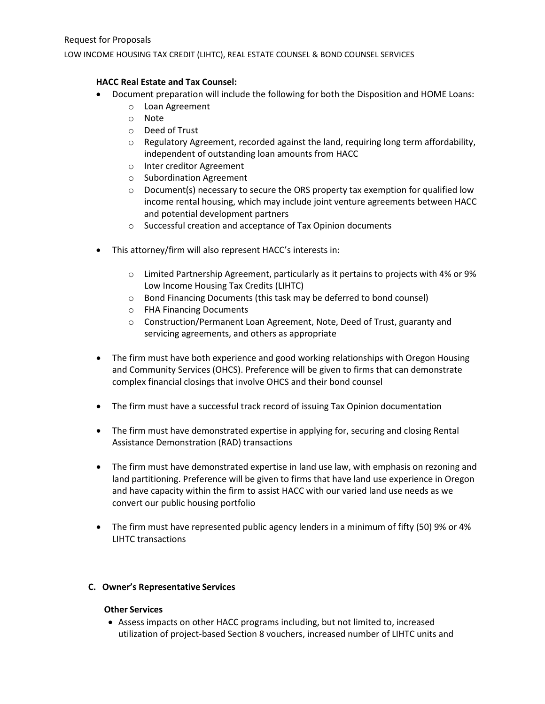### LOW INCOME HOUSING TAX CREDIT (LIHTC), REAL ESTATE COUNSEL & BOND COUNSEL SERVICES

## **HACC Real Estate and Tax Counsel:**

- Document preparation will include the following for both the Disposition and HOME Loans:
	- o Loan Agreement
	- o Note
	- o Deed of Trust
	- $\circ$  Regulatory Agreement, recorded against the land, requiring long term affordability, independent of outstanding loan amounts from HACC
	- o Inter creditor Agreement
	- o Subordination Agreement
	- $\circ$  Document(s) necessary to secure the ORS property tax exemption for qualified low income rental housing, which may include joint venture agreements between HACC and potential development partners
	- o Successful creation and acceptance of Tax Opinion documents
- This attorney/firm will also represent HACC's interests in:
	- $\circ$  Limited Partnership Agreement, particularly as it pertains to projects with 4% or 9% Low Income Housing Tax Credits (LIHTC)
	- o Bond Financing Documents (this task may be deferred to bond counsel)
	- o FHA Financing Documents
	- o Construction/Permanent Loan Agreement, Note, Deed of Trust, guaranty and servicing agreements, and others as appropriate
- The firm must have both experience and good working relationships with Oregon Housing and Community Services (OHCS). Preference will be given to firms that can demonstrate complex financial closings that involve OHCS and their bond counsel
- The firm must have a successful track record of issuing Tax Opinion documentation
- The firm must have demonstrated expertise in applying for, securing and closing Rental Assistance Demonstration (RAD) transactions
- The firm must have demonstrated expertise in land use law, with emphasis on rezoning and land partitioning. Preference will be given to firms that have land use experience in Oregon and have capacity within the firm to assist HACC with our varied land use needs as we convert our public housing portfolio
- The firm must have represented public agency lenders in a minimum of fifty (50) 9% or 4% LIHTC transactions

## **C. Owner's Representative Services**

## **Other Services**

• Assess impacts on other HACC programs including, but not limited to, increased utilization of project-based Section 8 vouchers, increased number of LIHTC units and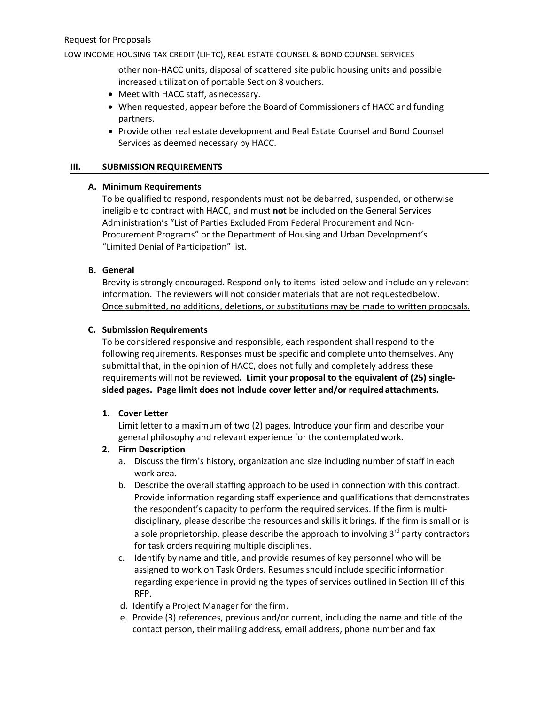### LOW INCOME HOUSING TAX CREDIT (LIHTC), REAL ESTATE COUNSEL & BOND COUNSEL SERVICES

other non-HACC units, disposal of scattered site public housing units and possible increased utilization of portable Section 8 vouchers.

- Meet with HACC staff, as necessary.
- When requested, appear before the Board of Commissioners of HACC and funding partners.
- Provide other real estate development and Real Estate Counsel and Bond Counsel Services as deemed necessary by HACC.

## **III. SUBMISSION REQUIREMENTS**

## **A. Minimum Requirements**

To be qualified to respond, respondents must not be debarred, suspended, or otherwise ineligible to contract with HACC, and must **not** be included on the General Services Administration's "List of Parties Excluded From Federal Procurement and Non-Procurement Programs" or the Department of Housing and Urban Development's "Limited Denial of Participation" list.

## **B. General**

Brevity is strongly encouraged. Respond only to items listed below and include only relevant information. The reviewers will not consider materials that are not requestedbelow. Once submitted, no additions, deletions, or substitutions may be made to written proposals.

## **C. Submission Requirements**

To be considered responsive and responsible, each respondent shall respond to the following requirements. Responses must be specific and complete unto themselves. Any submittal that, in the opinion of HACC, does not fully and completely address these requirements will not be reviewed**. Limit your proposal to the equivalent of (25) singlesided pages. Page limit does not include cover letter and/or requiredattachments.**

## **1. Cover Letter**

Limit letter to a maximum of two (2) pages. Introduce your firm and describe your general philosophy and relevant experience for the contemplatedwork.

## **2. Firm Description**

- a. Discuss the firm's history, organization and size including number of staff in each work area.
- b. Describe the overall staffing approach to be used in connection with this contract. Provide information regarding staff experience and qualifications that demonstrates the respondent's capacity to perform the required services. If the firm is multidisciplinary, please describe the resources and skills it brings. If the firm is small or is a sole proprietorship, please describe the approach to involving  $3<sup>rd</sup>$  party contractors for task orders requiring multiple disciplines.
- c. Identify by name and title, and provide resumes of key personnel who will be assigned to work on Task Orders. Resumes should include specific information regarding experience in providing the types of services outlined in Section III of this RFP.
- d. Identify a Project Manager for the firm.
- e. Provide (3) references, previous and/or current, including the name and title of the contact person, their mailing address, email address, phone number and fax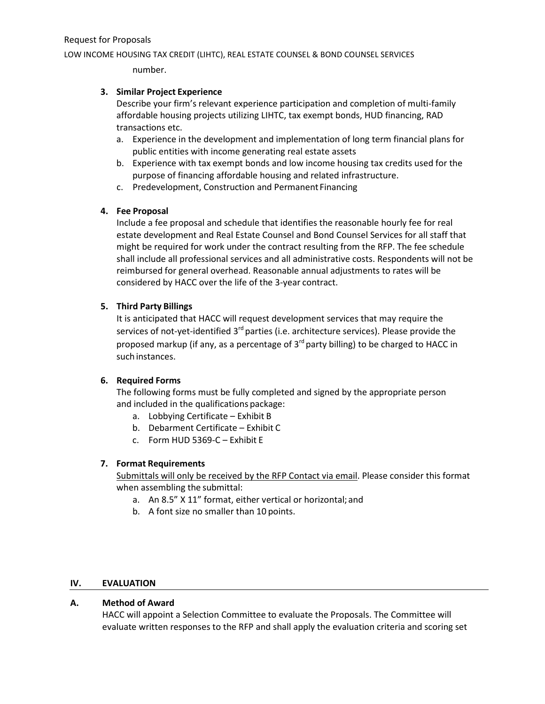LOW INCOME HOUSING TAX CREDIT (LIHTC), REAL ESTATE COUNSEL & BOND COUNSEL SERVICES

number.

## **3. Similar Project Experience**

Describe your firm's relevant experience participation and completion of multi-family affordable housing projects utilizing LIHTC, tax exempt bonds, HUD financing, RAD transactions etc.

- a. Experience in the development and implementation of long term financial plans for public entities with income generating real estate assets
- b. Experience with tax exempt bonds and low income housing tax credits used for the purpose of financing affordable housing and related infrastructure.
- c. Predevelopment, Construction and Permanent Financing

## **4. Fee Proposal**

Include a fee proposal and schedule that identifies the reasonable hourly fee for real estate development and Real Estate Counsel and Bond Counsel Services for all staff that might be required for work under the contract resulting from the RFP. The fee schedule shall include all professional services and all administrative costs. Respondents will not be reimbursed for general overhead. Reasonable annual adjustments to rates will be considered by HACC over the life of the 3-year contract.

## **5. Third Party Billings**

It is anticipated that HACC will request development services that may require the services of not-yet-identified 3<sup>rd</sup> parties (i.e. architecture services). Please provide the proposed markup (if any, as a percentage of  $3<sup>rd</sup>$  party billing) to be charged to HACC in such instances.

## **6. Required Forms**

The following forms must be fully completed and signed by the appropriate person and included in the qualifications package:

- a. Lobbying Certificate Exhibit B
- b. Debarment Certificate Exhibit C
- c. Form HUD 5369-C Exhibit E

## **7. Format Requirements**

Submittals will only be received by the RFP Contact via email. Please consider this format when assembling the submittal:

- a. An 8.5" X 11" format, either vertical or horizontal; and
- b. A font size no smaller than 10 points.

## **IV. EVALUATION**

## **A. Method of Award**

HACC will appoint a Selection Committee to evaluate the Proposals. The Committee will evaluate written responses to the RFP and shall apply the evaluation criteria and scoring set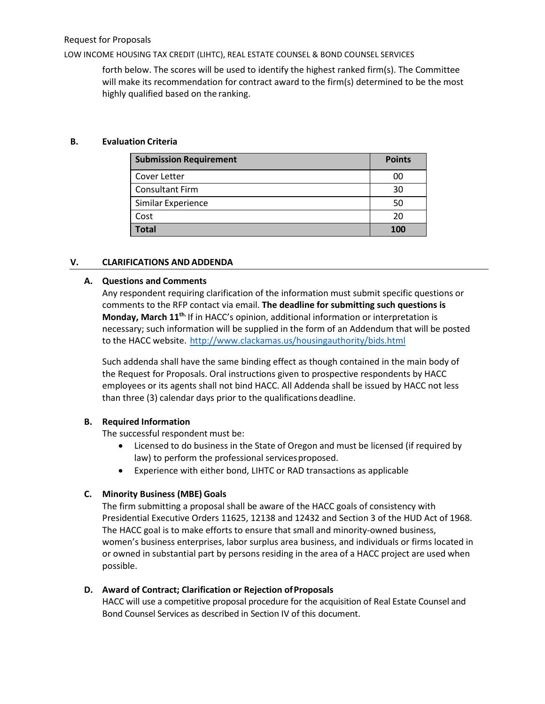LOW INCOME HOUSING TAX CREDIT (LIHTC), REAL ESTATE COUNSEL & BOND COUNSEL SERVICES

forth below. The scores will be used to identify the highest ranked firm(s). The Committee will make its recommendation for contract award to the firm(s) determined to be the most highly qualified based on the ranking.

### **B. Evaluation Criteria**

| <b>Submission Requirement</b> | <b>Points</b> |
|-------------------------------|---------------|
| Cover Letter                  | 00            |
| <b>Consultant Firm</b>        | 30            |
| Similar Experience            | 50            |
| Cost                          | 20            |
| <b>Total</b>                  | 100           |

### **V. CLARIFICATIONS AND ADDENDA**

### **A. Questions and Comments**

Any respondent requiring clarification of the information must submit specific questions or comments to the RFP contact via email. **The deadline for submitting such questions is Monday, March 11th.** If in HACC's opinion, additional information or interpretation is necessary; such information will be supplied in the form of an Addendum that will be posted to the HACC website. <http://www.clackamas.us/housingauthority/bids.html>

Such addenda shall have the same binding effect as though contained in the main body of the Request for Proposals. Oral instructions given to prospective respondents by HACC employees or its agents shall not bind HACC. All Addenda shall be issued by HACC not less than three (3) calendar days prior to the qualifications deadline.

## **B. Required Information**

The successful respondent must be:

- Licensed to do business in the State of Oregon and must be licensed (if required by law) to perform the professional services proposed.
- Experience with either bond, LIHTC or RAD transactions as applicable

## **C. Minority Business (MBE) Goals**

The firm submitting a proposal shall be aware of the HACC goals of consistency with Presidential Executive Orders 11625, 12138 and 12432 and Section 3 of the HUD Act of 1968. The HACC goal is to make efforts to ensure that small and minority-owned business, women's business enterprises, labor surplus area business, and individuals or firms located in or owned in substantial part by persons residing in the area of a HACC project are used when possible.

## **D. Award of Contract; Clarification or Rejection ofProposals**

HACC will use a competitive proposal procedure for the acquisition of Real Estate Counsel and Bond Counsel Services as described in Section IV of this document.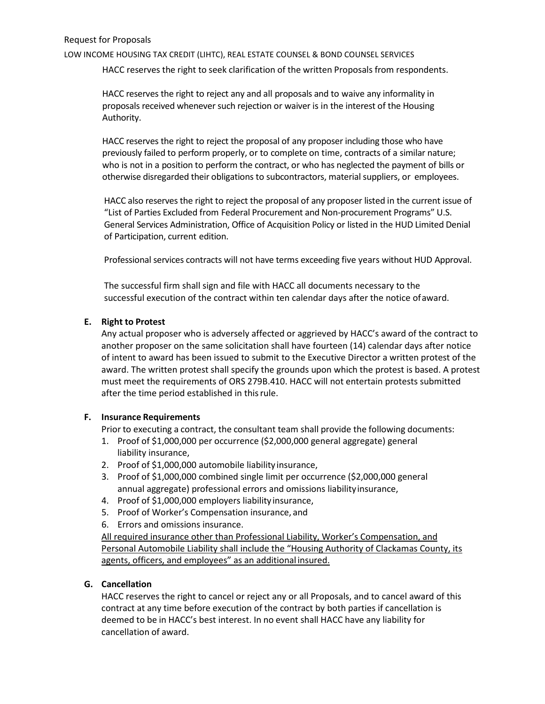#### LOW INCOME HOUSING TAX CREDIT (LIHTC), REAL ESTATE COUNSEL & BOND COUNSEL SERVICES

HACC reserves the right to seek clarification of the written Proposals from respondents.

HACC reserves the right to reject any and all proposals and to waive any informality in proposals received whenever such rejection or waiver is in the interest of the Housing Authority.

HACC reserves the right to reject the proposal of any proposer including those who have previously failed to perform properly, or to complete on time, contracts of a similar nature; who is not in a position to perform the contract, or who has neglected the payment of bills or otherwise disregarded their obligations to subcontractors, material suppliers, or employees.

HACC also reserves the right to reject the proposal of any proposer listed in the current issue of "List of Parties Excluded from Federal Procurement and Non-procurement Programs" U.S. General Services Administration, Office of Acquisition Policy or listed in the HUD Limited Denial of Participation, current edition.

Professional services contracts will not have terms exceeding five years without HUD Approval.

The successful firm shall sign and file with HACC all documents necessary to the successful execution of the contract within ten calendar days after the notice ofaward.

### **E. Right to Protest**

Any actual proposer who is adversely affected or aggrieved by HACC's award of the contract to another proposer on the same solicitation shall have fourteen (14) calendar days after notice of intent to award has been issued to submit to the Executive Director a written protest of the award. The written protest shall specify the grounds upon which the protest is based. A protest must meet the requirements of ORS 279B.410. HACC will not entertain protests submitted after the time period established in thisrule.

#### **F. Insurance Requirements**

Prior to executing a contract, the consultant team shall provide the following documents:

- 1. Proof of \$1,000,000 per occurrence (\$2,000,000 general aggregate) general liability insurance,
- 2. Proof of \$1,000,000 automobile liability insurance,
- 3. Proof of \$1,000,000 combined single limit per occurrence (\$2,000,000 general annual aggregate) professional errors and omissions liabilityinsurance,
- 4. Proof of \$1,000,000 employers liability insurance,
- 5. Proof of Worker's Compensation insurance, and
- 6. Errors and omissions insurance.

All required insurance other than Professional Liability, Worker's Compensation, and Personal Automobile Liability shall include the "Housing Authority of Clackamas County, its agents, officers, and employees" as an additional insured.

## **G. Cancellation**

HACC reserves the right to cancel or reject any or all Proposals, and to cancel award of this contract at any time before execution of the contract by both parties if cancellation is deemed to be in HACC's best interest. In no event shall HACC have any liability for cancellation of award.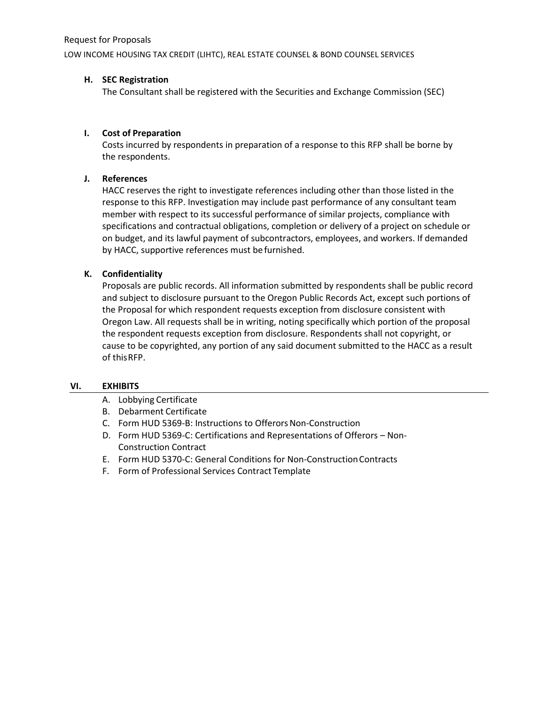LOW INCOME HOUSING TAX CREDIT (LIHTC), REAL ESTATE COUNSEL & BOND COUNSEL SERVICES

## **H. SEC Registration**

The Consultant shall be registered with the Securities and Exchange Commission (SEC)

## **I. Cost of Preparation**

Costs incurred by respondents in preparation of a response to this RFP shall be borne by the respondents.

## **J. References**

HACC reserves the right to investigate references including other than those listed in the response to this RFP. Investigation may include past performance of any consultant team member with respect to its successful performance of similar projects, compliance with specifications and contractual obligations, completion or delivery of a project on schedule or on budget, and its lawful payment of subcontractors, employees, and workers. If demanded by HACC, supportive references must be furnished.

## **K. Confidentiality**

Proposals are public records. All information submitted by respondents shall be public record and subject to disclosure pursuant to the Oregon Public Records Act, except such portions of the Proposal for which respondent requests exception from disclosure consistent with Oregon Law. All requests shall be in writing, noting specifically which portion of the proposal the respondent requests exception from disclosure. Respondents shall not copyright, or cause to be copyrighted, any portion of any said document submitted to the HACC as a result of thisRFP.

## **VI. EXHIBITS**

- A. Lobbying Certificate
- B. Debarment Certificate
- C. Form HUD 5369-B: Instructions to Offerors Non-Construction
- D. Form HUD 5369-C: Certifications and Representations of Offerors Non-Construction Contract
- E. Form HUD 5370-C: General Conditions for Non-ConstructionContracts
- F. Form of Professional Services Contract Template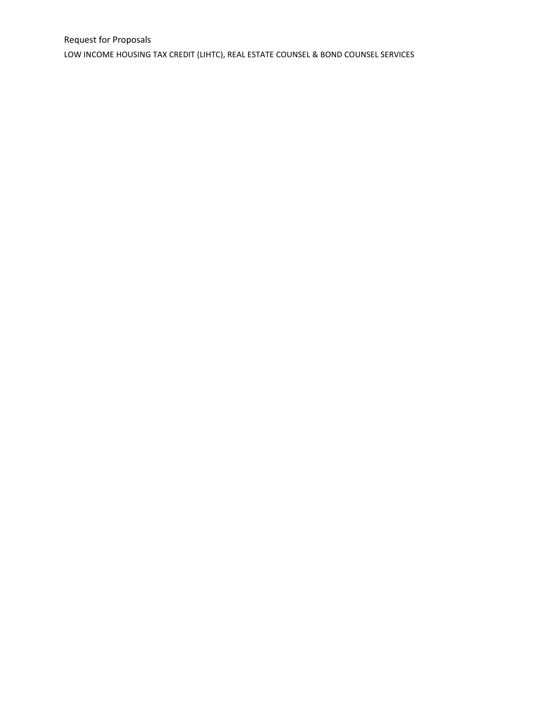LOW INCOME HOUSING TAX CREDIT (LIHTC), REAL ESTATE COUNSEL & BOND COUNSEL SERVICES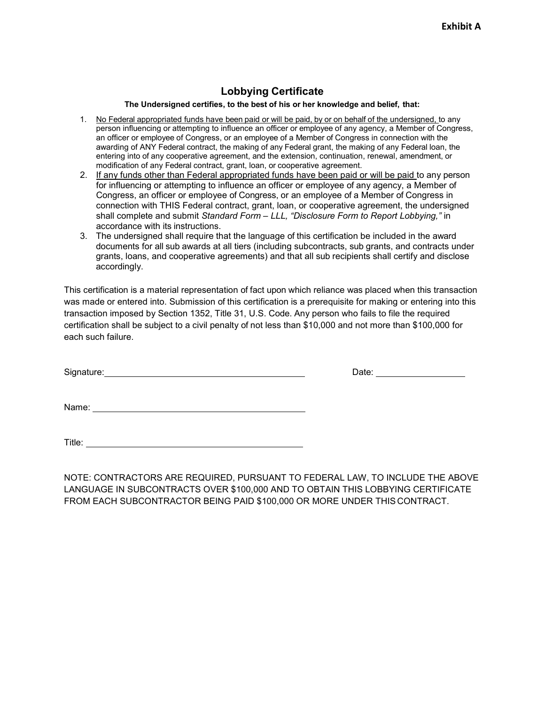## **Lobbying Certificate**

#### **The Undersigned certifies, to the best of his or her knowledge and belief, that:**

- 1. No Federal appropriated funds have been paid or will be paid, by or on behalf of the undersigned, to any person influencing or attempting to influence an officer or employee of any agency, a Member of Congress, an officer or employee of Congress, or an employee of a Member of Congress in connection with the awarding of ANY Federal contract, the making of any Federal grant, the making of any Federal loan, the entering into of any cooperative agreement, and the extension, continuation, renewal, amendment, or modification of any Federal contract, grant, loan, or cooperative agreement.
- 2. If any funds other than Federal appropriated funds have been paid or will be paid to any person for influencing or attempting to influence an officer or employee of any agency, a Member of Congress, an officer or employee of Congress, or an employee of a Member of Congress in connection with THIS Federal contract, grant, loan, or cooperative agreement, the undersigned shall complete and submit *Standard Form – LLL, "Disclosure Form to Report Lobbying,"* in accordance with its instructions.
- 3. The undersigned shall require that the language of this certification be included in the award documents for all sub awards at all tiers (including subcontracts, sub grants, and contracts under grants, loans, and cooperative agreements) and that all sub recipients shall certify and disclose accordingly.

This certification is a material representation of fact upon which reliance was placed when this transaction was made or entered into. Submission of this certification is a prerequisite for making or entering into this transaction imposed by Section 1352, Title 31, U.S. Code. Any person who fails to file the required certification shall be subject to a civil penalty of not less than \$10,000 and not more than \$100,000 for each such failure.

| Signa.<br>- |  |
|-------------|--|
|             |  |

Name: when the contract of the contract of the contract of the contract of the contract of the contract of the contract of the contract of the contract of the contract of the contract of the contract of the contract of the

Title: **The Community of the Community of the Community** 

NOTE: CONTRACTORS ARE REQUIRED, PURSUANT TO FEDERAL LAW, TO INCLUDE THE ABOVE LANGUAGE IN SUBCONTRACTS OVER \$100,000 AND TO OBTAIN THIS LOBBYING CERTIFICATE FROM EACH SUBCONTRACTOR BEING PAID \$100,000 OR MORE UNDER THIS CONTRACT.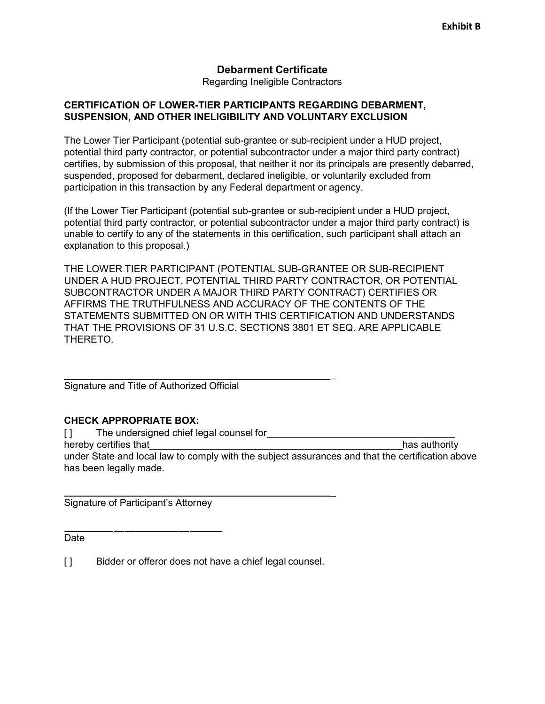## **Debarment Certificate**

Regarding Ineligible Contractors

## **CERTIFICATION OF LOWER-TIER PARTICIPANTS REGARDING DEBARMENT, SUSPENSION, AND OTHER INELIGIBILITY AND VOLUNTARY EXCLUSION**

The Lower Tier Participant (potential sub-grantee or sub-recipient under a HUD project, potential third party contractor, or potential subcontractor under a major third party contract) certifies, by submission of this proposal, that neither it nor its principals are presently debarred, suspended, proposed for debarment, declared ineligible, or voluntarily excluded from participation in this transaction by any Federal department or agency.

(If the Lower Tier Participant (potential sub-grantee or sub-recipient under a HUD project, potential third party contractor, or potential subcontractor under a major third party contract) is unable to certify to any of the statements in this certification, such participant shall attach an explanation to this proposal.)

THE LOWER TIER PARTICIPANT (POTENTIAL SUB-GRANTEE OR SUB-RECIPIENT UNDER A HUD PROJECT, POTENTIAL THIRD PARTY CONTRACTOR, OR POTENTIAL SUBCONTRACTOR UNDER A MAJOR THIRD PARTY CONTRACT) CERTIFIES OR AFFIRMS THE TRUTHFULNESS AND ACCURACY OF THE CONTENTS OF THE STATEMENTS SUBMITTED ON OR WITH THIS CERTIFICATION AND UNDERSTANDS THAT THE PROVISIONS OF 31 U.S.C. SECTIONS 3801 ET SEQ. ARE APPLICABLE THERETO.

Signature and Title of Authorized Official

## **CHECK APPROPRIATE BOX:**

[ ] The undersigned chief legal counsel for hereby certifies that has authority and the has authority of the has authority of the has authority under State and local law to comply with the subject assurances and that the certification above has been legally made.

 $\overline{\phantom{a}}$ 

 $\overline{\phantom{a}}$ 

Signature of Participant's Attorney

**Date** 

[ ] Bidder or offeror does not have a chief legal counsel.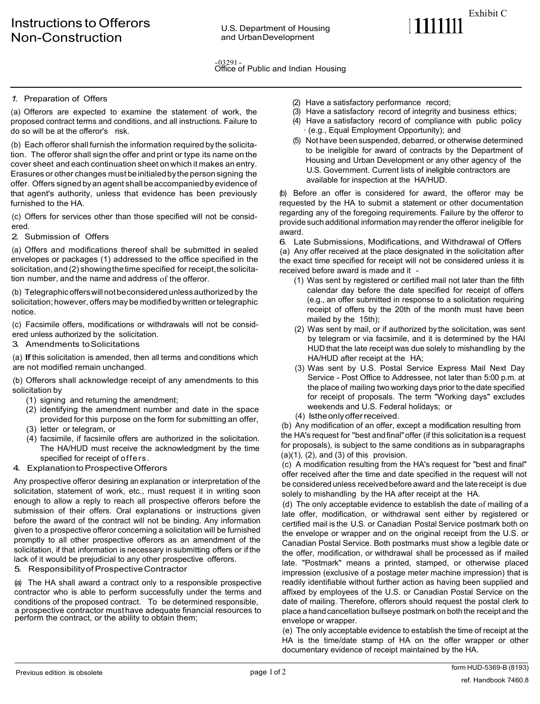Exhibit C <sup>1</sup> 111111

-03291 -<br>Office of Public and Indian Housing

#### *1.* Preparation of Offers

(a) Offerors are expected to examine the statement of work, the proposed contract terms and conditions, and all instructions. Failure to do so will be at the offeror's risk.

(b) Each offeror shall furnish the information required bythe solicitation. The offeror shall sign the offer and print or type its name on the cover sheet and each continuation sheet onwhich it makes an entry. Erasures or other changes must beinitialedbythe personsigning the offer. Offers signed byan agent shall beaccompaniedby evidence of that agent's authority, unless that evidence has been previously furnished to the HA.

(c) Offers for services other than those specified will not be considered.

2. Submission of Offers

(a) Offers and modifications thereof shall be submitted in sealed envelopes or packages (1) addressed to the office specified in the solicitation, and (2) showing the time specified for receipt, the solicitation number, and the name and address of the offeror.

(b) Telegraphicofferswillnotbeconsideredunlessauthorizedby the solicitation; however, offers may be modified by written or telegraphic notice.

(c) Facsimile offers, modifications or withdrawals will not be considered unless authorized by the solicitation.

3. Amendments toSolicitations

(a) Ifthis solicitation is amended, then all terms and conditions which are not modified remain unchanged.

(b) Offerors shall acknowledge receipt of any amendments to this solicitation by

- (1) signing and returning the amendment;
- (2) identifying the amendment number and date in the space provided for this purpose on the form for submitting an offer,
- (3) letter or telegram, or
- (4) facsimile, if facsimile offers are authorized in the solicitation. The HA/HUD must receive the acknowledgment by the time specified for receipt of offers .
- 4. Explanation to Prospective Offerors

Any prospective offeror desiring an explanation or interpretation of the solicitation, statement of work, etc., must request it in writing soon enough to allow a reply to reach all prospective offerors before the submission of their offers. Oral explanations or instructions given before the award of the contract will not be binding. Any information given to a prospective offeror concerning a solicitation will be furnished promptly to all other prospective offerors as an amendment of the solicitation, if that information is necessary in submitting offers or if the lack of it would be prejudicial to any other prospective offerors.

5. ResponsibilityofProspectiveContractor

(a) The HA shall award a contract only to a responsible prospective contractor who is able to perform successfully under the terms and conditions of the proposed contract. To be determined responsible, a prospective contractor musthave adequate financial resources to perform the contract, or the ability to obtain them;

- (2) Have a satisfactory performance record;
- (3) Have a satisfactory record of integrity and business ethics;
- (4) Have a satisfactory record of compliance with public policy (e.g., Equal Employment Opportunity); and
- (5) Not have been suspended, debarred, or otherwise determined to be ineligible for award of contracts by the Department of Housing and Urban Development or any other agency of the U.S. Government. Current lists of ineligible contractors are available for inspection at the HA/HUD.

(b) Before an offer is considered for award, the offeror may be requested by the HA to submit a statement or other documentation regarding any of the foregoing requirements. Failure by the offeror to provide such additional information may renderthe offeror ineligible for award.

6. Late Submissions, Modifications, and Withdrawal of Offers (a) Any offer received at the place designated in the solicitation after the exact time specified for receipt will not be considered unless it is received before award is made and it -

- (1) Was sent by registered or certified mail not later than the fifth calendar day before the date specified for receipt of offers (e.g., an offer submitted in response to a solicitation requiring receipt of offers by the 20th of the month must have been mailed by the 15th);
- (2) Was sent by mail, or if authorized by the solicitation, was sent by telegram or via facsimile, and it is determined by the HAI HUD that the late receipt was due solely to mishandling by the HA/HUD after receipt at the HA;
- (3) Was sent by U.S. Postal Service Express Mail Next Day Service - Post Office to Addressee, not later than 5:00 p.m. at the place of mailing two working days prior to the date specified for receipt of proposals. The term "Working days" excludes weekends and U.S. Federal holidays; or
- (4) Istheonlyofferreceived.

(b) Any modification of an offer, except a modification resulting from

the HA's request for "best and final" offer (if this solicitation is a request for proposals), is subject to the same conditions as in subparagraphs  $(a)(1)$ ,  $(2)$ , and  $(3)$  of this provision.

(c) A modification resulting from the HA's request for "best and final" offer received after the time and date specified in the request will not be considered unless receivedbefore award and the late receipt is due solely to mishandling by the HA after receipt at the HA.

(d) The only acceptable evidence to establish the date of mailing of a late offer, modification, or withdrawal sent either by registered or certified mail is the U.S. or Canadian Postal Service postmark both on the envelope or wrapper and on the original receipt from the U.S. or Canadian Postal Service. Both postmarks must show a legible date or the offer, modification, or withdrawal shall be processed as if mailed late. "Postmark" means a printed, stamped, or otherwise placed impression (exclusive of a postage meter machine impression) that is readily identifiable without further action as having been supplied and affixed by employees of the U.S. or Canadian Postal Service on the date of mailing. Therefore, offerors should request the postal clerk to place a handcancellation bullseye postmark on both the receipt and the envelope or wrapper.

(e) The only acceptable evidence to establish the time of receipt at the HA is the time/date stamp of HA on the offer wrapper or other documentary evidence of receipt maintained by the HA.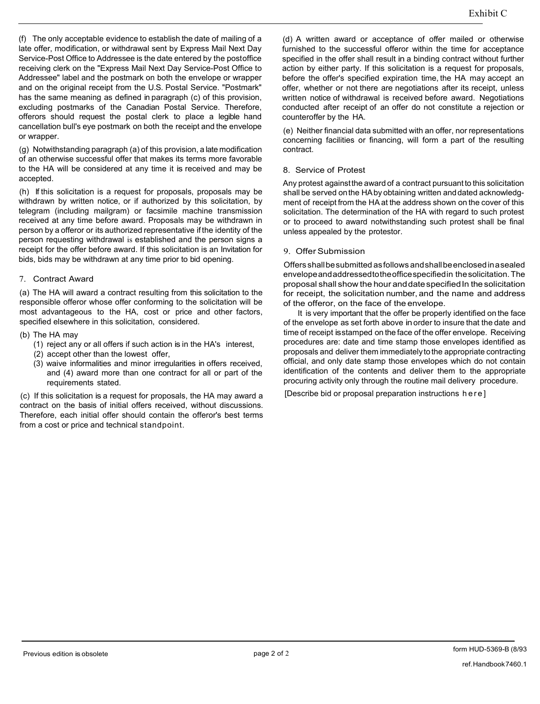(f) The only acceptable evidence to establish the date of mailing of a late offer, modification, or withdrawal sent by Express Mail Next Day Service-Post Office to Addressee is the date entered by the postoffice receiving clerk on the "Express Mail Next Day Service-Post Office to Addressee" label and the postmark on both the envelope or wrapper and on the original receipt from the U.S. Postal Service. "Postmark" has the same meaning as defined in paragraph (c) of this provision, excluding postmarks of the Canadian Postal Service. Therefore, offerors should request the postal clerk to place a legible hand cancellation bull's eye postmark on both the receipt and the envelope or wrapper.

(g) Notwithstanding paragraph (a) of this provision, a late modification of an otherwise successful offer that makes its terms more favorable to the HA will be considered at any time it is received and may be accepted.

(h) If this solicitation is a request for proposals, proposals may be withdrawn by written notice, or if authorized by this solicitation, by telegram (including mailgram) or facsimile machine transmission received at any time before award. Proposals may be withdrawn in person by a offeror or its authorized representative if the identity of the person requesting withdrawal is established and the person signs a receipt for the offer before award. If this solicitation is an Invitation for bids, bids may be withdrawn at any time prior to bid opening.

#### 7. Contract Award

(a) The HA will award a contract resulting from this solicitation to the responsible offeror whose offer conforming to the solicitation will be most advantageous to the HA, cost or price and other factors, specified elsewhere in this solicitation, considered.

- (b) The HA may
	- (1) reject any or all offers if such action is in the HA's interest,
	- (2) accept other than the lowest offer,
	- (3) waive informalities and minor irregularities in offers received, and (4) award more than one contract for all or part of the requirements stated.

(c) If this solicitation is a request for proposals, the HA may award a contract on the basis of initial offers received, without discussions. Therefore, each initial offer should contain the offeror's best terms from a cost or price and technical standpoint.

(d) A written award or acceptance of offer mailed or otherwise furnished to the successful offeror within the time for acceptance specified in the offer shall result in a binding contract without further action by either party. If this solicitation is a request for proposals, before the offer's specified expiration time, the HA may accept an offer, whether or not there are negotiations after its receipt, unless written notice of withdrawal is received before award. Negotiations conducted after receipt of an offer do not constitute a rejection or counteroffer by the HA.

(e) Neither financial data submitted with an offer, nor representations concerning facilities or financing, will form a part of the resulting contract.

#### 8. Service of Protest

Any protest againstthe award of a contract pursuantto this solicitation shall be served onthe HAby obtaining written anddated acknowledgment of receipt from the HA at the address shown on the cover of this solicitation. The determination of the HA with regard to such protest or to proceed to award notwithstanding such protest shall be final unless appealed by the protestor.

#### 9. Offer Submission

Offers shallbesubmitted asfollows andshallbeenclosedinasealed envelopeandaddressedtotheofficespecifiedin thesolicitation.The proposal shall show the hour and date specified In the solicitation for receipt, the solicitation number, and the name and address of the offeror, on the face of the envelope.

It is very important that the offer be properly identified on the face of the envelope as set forth above in order to insure that the date and time of receipt isstamped on the face of the offer envelope. Receiving procedures are: date and time stamp those envelopes identified as proposals and deliver them immediately tothe appropriate contracting official, and only date stamp those envelopes which do not contain identification of the contents and deliver them to the appropriate procuring activity only through the routine mail delivery procedure.

[Describe bid or proposal preparation instructions here]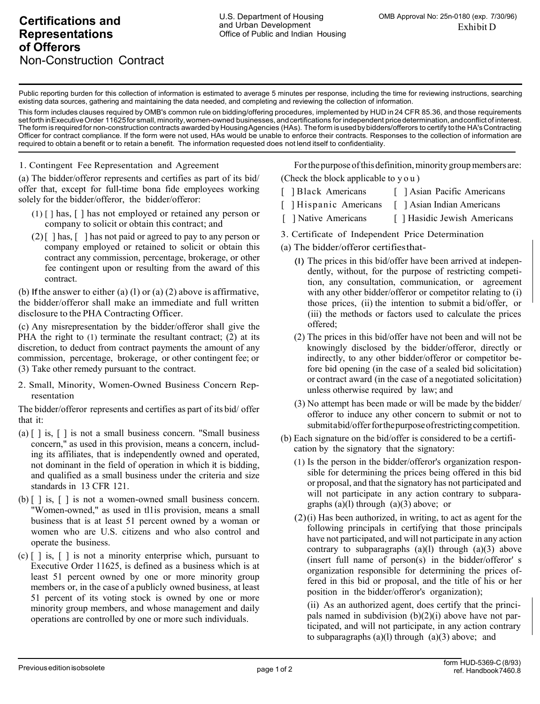Public reporting burden for this collection of information is estimated to average 5 minutes per response, including the time for reviewing instructions, searching existing data sources, gathering and maintaining the data needed, and completing and reviewing the collection of information.

This form includes clauses required by OMB's common rule on bidding/offering procedures, implemented by HUD in 24 CFR 85.36, and those requirements setforth inExecutiveOrder 11625for small, minority,women-owned businesses, andcertifications for independent pricedetermination,andconflict of interest. Theform is requiredfor non-construction contracts awarded by HousingAgencies (HAs). Theform isusedbybidders/offerors to certify tothe HA'sContracting Officer for contract compliance. If the form were not used, HAs would be unable to enforce their contracts. Responses to the collection of information are required to obtain a benefit or to retain a benefit. The information requested does not lend itself to confidentiality.

#### 1. Contingent Fee Representation and Agreement

(a) The bidder/offeror represents and certifies as part of its bid/ offer that, except for full-time bona fide employees working solely for the bidder/offeror, the bidder/offeror:

- $(1)$  [ ] has, [ ] has not employed or retained any person or company to solicit or obtain this contract; and
- $(2)$ [ ] has, [ ] has not paid or agreed to pay to any person or company employed or retained to solicit or obtain this contract any commission, percentage, brokerage, or other fee contingent upon or resulting from the award of this contract.

(b) If the answer to either (a) (l) or (a) (2) above is affirmative, the bidder/offeror shall make an immediate and full written disclosure to the PHA Contracting Officer.

(c) Any misrepresentation by the bidder/offeror shall give the PHA the right to (1) terminate the resultant contract; (2) at its discretion, to deduct from contract payments the amount of any commission, percentage, brokerage, or other contingent fee; or (3) Take other remedy pursuant to the contract.

2. Small, Minority, Women-Owned Business Concern Representation

The bidder/offeror represents and certifies as part of its bid/ offer that it:

- (a)  $\lceil \cdot \rceil$  is,  $\lceil \cdot \rceil$  is not a small business concern. "Small business concern," as used in this provision, means a concern, including its affiliates, that is independently owned and operated, not dominant in the field of operation in which it is bidding, and qualified as a small business under the criteria and size standards in 13 CFR 121.
- (b) [ ] is, [ ] is not a women-owned small business concern. "Women-owned," as used in tl1is provision, means a small business that is at least 51 percent owned by a woman or women who are U.S. citizens and who also control and operate the business.
- (c)  $\lceil \cdot \rceil$  is,  $\lceil \cdot \rceil$  is not a minority enterprise which, pursuant to Executive Order 11625, is defined as a business which is at least 51 percent owned by one or more minority group members or, in the case of a publicly owned business, at least 51 percent of its voting stock is owned by one or more minority group members, and whose management and daily operations are controlled by one or more such individuals.

For the purpose of this definition, minority group members are: (Check the block applicable to you )

- [ ] Black Americans [ ] Asian Pacific Americans
- [ ] Hispanic Americans [ ] Asian Indian Americans
- [ ] Native Americans [ ] Hasidic Jewish Americans
- 3. Certificate of Independent Price Determination
- (a) The bidder/offeror certifiesthat-
	- (I) The prices in this bid/offer have been arrived at independently, without, for the purpose of restricting competition, any consultation, communication, or agreement with any other bidder/offeror or competitor relating to (i) those prices, (ii) the intention to submit a bid/offer, or (iii) the methods or factors used to calculate the prices offered;
	- (2) The prices in this bid/offer have not been and will not be knowingly disclosed by the bidder/offeror, directly or indirectly, to any other bidder/offeror or competitor before bid opening (in the case of a sealed bid solicitation) or contract award (in the case of a negotiated solicitation) unless otherwise required by law; and
	- (3) No attempt has been made or will be made by the bidder/ offeror to induce any other concern to submit or not to submitabid/offer for the purpose of restricting competition.
- (b) Each signature on the bid/offer is considered to be a certification by the signatory that the signatory:
	- (1) Is the person in the bidder/offeror's organization responsible for determining the prices being offered in this bid or proposal, and that the signatory has not participated and will not participate in any action contrary to subparagraphs (a)(l) through (a)(3) above; or
	- (2)(i) Has been authorized, in writing, to act as agent for the following principals in certifying that those principals have not participated, and will not participate in any action contrary to subparagraphs  $(a)(1)$  through  $(a)(3)$  above (insert full name of person(s) in the bidder/offeror' s organization responsible for determining the prices offered in this bid or proposal, and the title of his or her position in the bidder/offeror's organization);

(ii) As an authorized agent, does certify that the principals named in subdivision  $(b)(2)(i)$  above have not participated, and will not participate, in any action contrary to subparagraphs (a)(l) through (a)(3) above; and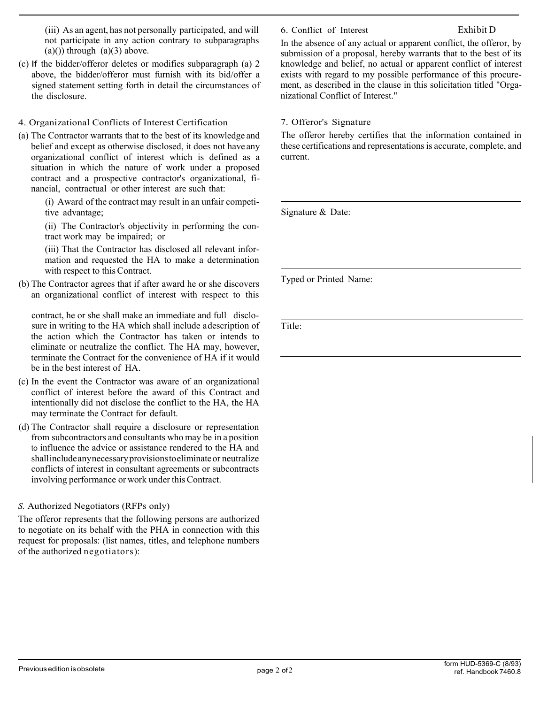(iii) As an agent, has not personally participated, and will not participate in any action contrary to subparagraphs  $(a)(i)$  through  $(a)(3)$  above.

- (c) If the bidder/offeror deletes or modifies subparagraph (a) 2 above, the bidder/offeror must furnish with its bid/offer a signed statement setting forth in detail the circumstances of the disclosure.
- 4. Organizational Conflicts of Interest Certification
- (a) The Contractor warrants that to the best of its knowledge and belief and except as otherwise disclosed, it does not have any organizational conflict of interest which is defined as a situation in which the nature of work under a proposed contract and a prospective contractor's organizational, financial, contractual or other interest are such that:

(i) Award of the contract may result in an unfair competitive advantage;

(ii) The Contractor's objectivity in performing the contract work may be impaired; or

(iii) That the Contractor has disclosed all relevant information and requested the HA to make a determination with respect to this Contract.

(b) The Contractor agrees that if after award he or she discovers an organizational conflict of interest with respect to this

contract, he or she shall make an immediate and full disclosure in writing to the HA which shall include adescription of the action which the Contractor has taken or intends to eliminate or neutralize the conflict. The HA may, however, terminate the Contract for the convenience of HA if it would be in the best interest of HA.

- (c) In the event the Contractor was aware of an organizational conflict of interest before the award of this Contract and intentionally did not disclose the conflict to the HA, the HA may terminate the Contract for default.
- (d) The Contractor shall require a disclosure or representation from subcontractors and consultants who may be in a position to influence the advice or assistance rendered to the HA and shallincludeanynecessaryprovisionstoeliminateor neutralize conflicts of interest in consultant agreements or subcontracts involving performance or work under this Contract.

*S.* Authorized Negotiators (RFPs only)

The offeror represents that the following persons are authorized to negotiate on its behalf with the PHA in connection with this request for proposals: (list names, titles, and telephone numbers of the authorized negotiators):

6. Conflict of Interest Exhibit D

In the absence of any actual or apparent conflict, the offeror, by submission of a proposal, hereby warrants that to the best of its knowledge and belief, no actual or apparent conflict of interest exists with regard to my possible performance of this procurement, as described in the clause in this solicitation titled "Organizational Conflict of Interest."

7. Offeror's Signature

The offeror hereby certifies that the information contained in these certifications and representations is accurate, complete, and current.

Signature & Date:

Typed or Printed Name:

Title: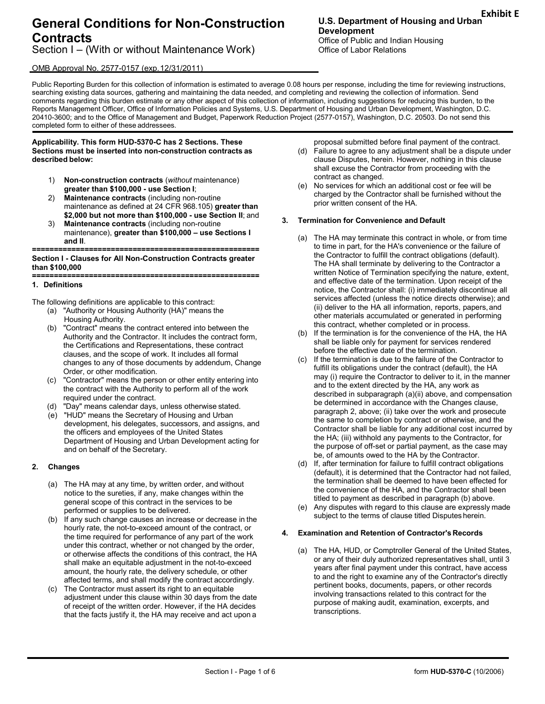# **General Conditions for Non-Construction Contracts**

Section I – (With or without Maintenance Work)

OMB Approval No. 2577-0157 (exp.12/31/2011)

Office of Public and Indian Housing Office of Labor Relations

Public Reporting Burden for this collection of information is estimated to average 0.08 hours per response, including the time for reviewing instructions, searching existing data sources, gathering and maintaining the data needed, and completing and reviewing the collection of information. Send comments regarding this burden estimate or any other aspect of this collection of information, including suggestions for reducing this burden, to the Reports Management Officer, Office of Information Policies and Systems, U.S. Department of Housing and Urban Development, Washington, D.C. 20410-3600; and to the Office of Management and Budget, Paperwork Reduction Project (2577-0157), Washington, D.C. 20503. Do not send this completed form to either of these addressees.

#### **Applicability. This form HUD-5370-C has 2 Sections. These Sections must be inserted into non-construction contracts as described below:**

- 1) **Non-construction contracts** (*without* maintenance) **greater than \$100,000 - use Section I**;
- 2) **Maintenance contracts** (including non-routine maintenance as defined at 24 CFR 968.105) **greater than \$2,000 but not more than \$100,000 - use Section II**; and
- 3) **Maintenance contracts** (including non-routine maintenance), **greater than \$100,000 – use Sections I and II**.

#### **==================================================== Section I - Clauses for All Non-Construction Contracts greater than \$100,000**

## **====================================================**

#### **1. Definitions**

The following definitions are applicable to this contract:

- (a) "Authority or Housing Authority (HA)" means the Housing Authority.
- (b) "Contract" means the contract entered into between the Authority and the Contractor. It includes the contract form, the Certifications and Representations, these contract clauses, and the scope of work. It includes all formal changes to any of those documents by addendum, Change Order, or other modification.
- "Contractor" means the person or other entity entering into the contract with the Authority to perform all of the work required under the contract.
- (d) "Day" means calendar days, unless otherwise stated.
- (e) "HUD" means the Secretary of Housing and Urban development, his delegates, successors, and assigns, and the officers and employees of the United States Department of Housing and Urban Development acting for and on behalf of the Secretary.

#### **2. Changes**

- (a) The HA may at any time, by written order, and without notice to the sureties, if any, make changes within the general scope of this contract in the services to be performed or supplies to be delivered.
- (b) If any such change causes an increase or decrease in the hourly rate, the not-to-exceed amount of the contract, or the time required for performance of any part of the work under this contract, whether or not changed by the order, or otherwise affects the conditions of this contract, the HA shall make an equitable adjustment in the not-to-exceed amount, the hourly rate, the delivery schedule, or other affected terms, and shall modify the contract accordingly.
- (c) The Contractor must assert its right to an equitable adjustment under this clause within 30 days from the date of receipt of the written order. However, if the HA decides that the facts justify it, the HA may receive and act upon a

proposal submitted before final payment of the contract.

- (d) Failure to agree to any adjustment shall be a dispute under clause Disputes, herein. However, nothing in this clause shall excuse the Contractor from proceeding with the contract as changed.
- (e) No services for which an additional cost or fee will be charged by the Contractor shall be furnished without the prior written consent of the HA.

#### **3. Termination for Convenience and Default**

- (a) The HA may terminate this contract in whole, or from time to time in part, for the HA's convenience or the failure of the Contractor to fulfill the contract obligations (default). The HA shall terminate by delivering to the Contractor a written Notice of Termination specifying the nature, extent, and effective date of the termination. Upon receipt of the notice, the Contractor shall: (i) immediately discontinue all services affected (unless the notice directs otherwise); and (ii) deliver to the HA all information, reports, papers,and other materials accumulated or generated in performing this contract, whether completed or in process.
- (b) If the termination is for the convenience of the HA, the HA shall be liable only for payment for services rendered before the effective date of the termination.
- (c) If the termination is due to the failure of the Contractor to fulfill its obligations under the contract (default), the HA may (i) require the Contractor to deliver to it, in the manner and to the extent directed by the HA, any work as described in subparagraph (a)(ii) above, and compensation be determined in accordance with the Changes clause, paragraph 2, above; (ii) take over the work and prosecute the same to completion by contract or otherwise, and the Contractor shall be liable for any additional cost incurred by the HA; (iii) withhold any payments to the Contractor, for the purpose of off-set or partial payment, as the case may be, of amounts owed to the HA by the Contractor.
- (d) If, after termination for failure to fulfill contract obligations (default), it is determined that the Contractor had not failed, the termination shall be deemed to have been effected for the convenience of the HA, and the Contractor shall been titled to payment as described in paragraph (b) above.
- (e) Any disputes with regard to this clause are expressly made subject to the terms of clause titled Disputes herein.

#### **4. Examination and Retention of Contractor's Records**

(a) The HA, HUD, or Comptroller General of the United States, or any of their duly authorized representatives shall, until 3 years after final payment under this contract, have access to and the right to examine any of the Contractor's directly pertinent books, documents, papers, or other records involving transactions related to this contract for the purpose of making audit, examination, excerpts, and transcriptions.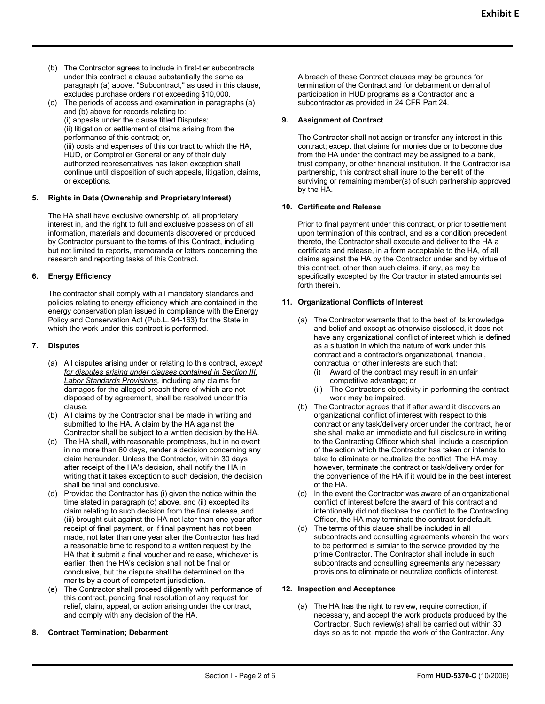- (b) The Contractor agrees to include in first-tier subcontracts under this contract a clause substantially the same as paragraph (a) above. "Subcontract," as used in this clause, excludes purchase orders not exceeding \$10,000.
- (c) The periods of access and examination in paragraphs (a) and (b) above for records relating to: (i) appeals under the clause titled Disputes; (ii) litigation or settlement of claims arising from the performance of this contract; or, (iii) costs and expenses of this contract to which the HA, HUD, or Comptroller General or any of their duly authorized representatives has taken exception shall continue until disposition of such appeals, litigation, claims, or exceptions.

#### **5. Rights in Data (Ownership and ProprietaryInterest)**

The HA shall have exclusive ownership of, all proprietary interest in, and the right to full and exclusive possession of all information, materials and documents discovered or produced by Contractor pursuant to the terms of this Contract, including but not limited to reports, memoranda or letters concerning the research and reporting tasks of this Contract.

#### **6. Energy Efficiency**

The contractor shall comply with all mandatory standards and policies relating to energy efficiency which are contained in the energy conservation plan issued in compliance with the Energy Policy and Conservation Act (Pub.L. 94-163) for the State in which the work under this contract is performed.

#### **7. Disputes**

- (a) All disputes arising under or relating to this contract, *except for disputes arising under clauses contained in Section III, Labor Standards Provisions*, including any claims for damages for the alleged breach there of which are not disposed of by agreement, shall be resolved under this clause.
- (b) All claims by the Contractor shall be made in writing and submitted to the HA. A claim by the HA against the Contractor shall be subject to a written decision by the HA.
- (c) The HA shall, with reasonable promptness, but in no event in no more than 60 days, render a decision concerning any claim hereunder. Unless the Contractor, within 30 days after receipt of the HA's decision, shall notify the HA in writing that it takes exception to such decision, the decision shall be final and conclusive.
- (d) Provided the Contractor has (i) given the notice within the time stated in paragraph (c) above, and (ii) excepted its claim relating to such decision from the final release, and (iii) brought suit against the HA not later than one year after receipt of final payment, or if final payment has not been made, not later than one year after the Contractor has had a reasonable time to respond to a written request by the HA that it submit a final voucher and release, whichever is earlier, then the HA's decision shall not be final or conclusive, but the dispute shall be determined on the merits by a court of competent jurisdiction.
- (e) The Contractor shall proceed diligently with performance of this contract, pending final resolution of any request for relief, claim, appeal, or action arising under the contract, and comply with any decision of the HA.

#### **8. Contract Termination; Debarment**

A breach of these Contract clauses may be grounds for termination of the Contract and for debarment or denial of participation in HUD programs as a Contractor and a subcontractor as provided in 24 CFR Part 24.

#### **9. Assignment of Contract**

The Contractor shall not assign or transfer any interest in this contract; except that claims for monies due or to become due from the HA under the contract may be assigned to a bank, trust company, or other financial institution. If the Contractor isa partnership, this contract shall inure to the benefit of the surviving or remaining member(s) of such partnership approved by the HA.

#### **10. Certificate and Release**

Prior to final payment under this contract, or prior tosettlement upon termination of this contract, and as a condition precedent thereto, the Contractor shall execute and deliver to the HA a certificate and release, in a form acceptable to the HA, of all claims against the HA by the Contractor under and by virtue of this contract, other than such claims, if any, as may be specifically excepted by the Contractor in stated amounts set forth therein.

#### **11. Organizational Conflicts of Interest**

- (a) The Contractor warrants that to the best of its knowledge and belief and except as otherwise disclosed, it does not have any organizational conflict of interest which is defined as a situation in which the nature of work under this contract and a contractor's organizational, financial, contractual or other interests are such that:
	- (i) Award of the contract may result in an unfair competitive advantage; or
	- (ii) The Contractor's objectivity in performing the contract work may be impaired.
- (b) The Contractor agrees that if after award it discovers an organizational conflict of interest with respect to this contract or any task/delivery order under the contract, heor she shall make an immediate and full disclosure in writing to the Contracting Officer which shall include a description of the action which the Contractor has taken or intends to take to eliminate or neutralize the conflict. The HA may, however, terminate the contract or task/delivery order for the convenience of the HA if it would be in the best interest of the HA.
- (c) In the event the Contractor was aware of an organizational conflict of interest before the award of this contract and intentionally did not disclose the conflict to the Contracting Officer, the HA may terminate the contract for default.
- (d) The terms of this clause shall be included in all subcontracts and consulting agreements wherein the work to be performed is similar to the service provided by the prime Contractor. The Contractor shall include in such subcontracts and consulting agreements any necessary provisions to eliminate or neutralize conflicts of interest.

#### **12. Inspection and Acceptance**

(a) The HA has the right to review, require correction, if necessary, and accept the work products produced by the Contractor. Such review(s) shall be carried out within 30 days so as to not impede the work of the Contractor. Any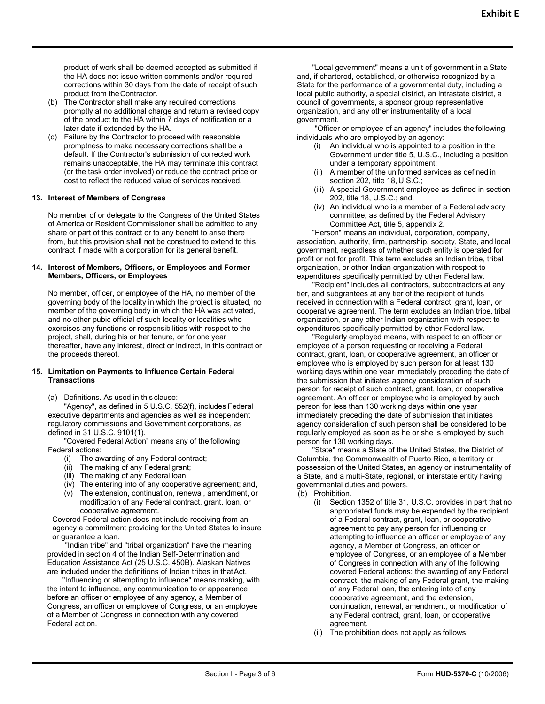product of work shall be deemed accepted as submitted if the HA does not issue written comments and/or required corrections within 30 days from the date of receipt of such product from theContractor.

- (b) The Contractor shall make any required corrections promptly at no additional charge and return a revised copy of the product to the HA within 7 days of notification or a later date if extended by the HA.
- (c) Failure by the Contractor to proceed with reasonable promptness to make necessary corrections shall be a default. If the Contractor's submission of corrected work remains unacceptable, the HA may terminate this contract (or the task order involved) or reduce the contract price or cost to reflect the reduced value of services received.

#### **13. Interest of Members of Congress**

No member of or delegate to the Congress of the United States of America or Resident Commissioner shall be admitted to any share or part of this contract or to any benefit to arise there from, but this provision shall not be construed to extend to this contract if made with a corporation for its general benefit.

#### **14. Interest of Members, Officers, or Employees and Former Members, Officers, or Employees**

No member, officer, or employee of the HA, no member of the governing body of the locality in which the project is situated, no member of the governing body in which the HA was activated, and no other pubic official of such locality or localities who exercises any functions or responsibilities with respect to the project, shall, during his or her tenure, or for one year thereafter, have any interest, direct or indirect, in this contract or the proceeds thereof.

#### **15. Limitation on Payments to Influence Certain Federal Transactions**

(a) Definitions. As used in this clause:

"Agency", as defined in 5 U.S.C. 552(f), includes Federal executive departments and agencies as well as independent regulatory commissions and Government corporations, as defined in 31 U.S.C. 9101(1).

"Covered Federal Action" means any of the following Federal actions:

- (i) The awarding of any Federal contract;
- (ii) The making of any Federal grant;
- (iii) The making of any Federal loan;
- (iv) The entering into of any cooperative agreement; and,
- (v) The extension, continuation, renewal, amendment, or modification of any Federal contract, grant, loan, or cooperative agreement.

Covered Federal action does not include receiving from an agency a commitment providing for the United States to insure or guarantee a loan.

"Indian tribe" and "tribal organization" have the meaning provided in section 4 of the Indian Self-Determination and Education Assistance Act (25 U.S.C. 450B). Alaskan Natives are included under the definitions of Indian tribes in thatAct.

"Influencing or attempting to influence" means making, with the intent to influence, any communication to or appearance before an officer or employee of any agency, a Member of Congress, an officer or employee of Congress, or an employee of a Member of Congress in connection with any covered Federal action.

"Local government" means a unit of government in a State and, if chartered, established, or otherwise recognized by a State for the performance of a governmental duty, including a local public authority, a special district, an intrastate district, a council of governments, a sponsor group representative organization, and any other instrumentality of a local government.

"Officer or employee of an agency" includes the following individuals who are employed by an agency:

- (i) An individual who is appointed to a position in the Government under title 5, U.S.C., including a position under a temporary appointment;
- (ii) A member of the uniformed services as defined in section 202, title 18, U.S.C.;
- (iii) A special Government employee as defined in section 202, title 18, U.S.C.; and,
- (iv) An individual who is a member of a Federal advisory committee, as defined by the Federal Advisory Committee Act, title 5, appendix 2.

"Person" means an individual, corporation, company, association, authority, firm, partnership, society, State, and local government, regardless of whether such entity is operated for profit or not for profit. This term excludes an Indian tribe, tribal organization, or other Indian organization with respect to expenditures specifically permitted by other Federal law.

"Recipient" includes all contractors, subcontractors at any tier, and subgrantees at any tier of the recipient of funds received in connection with a Federal contract, grant, loan, or cooperative agreement. The term excludes an Indian tribe, tribal organization, or any other Indian organization with respect to expenditures specifically permitted by other Federal law.

"Regularly employed means, with respect to an officer or employee of a person requesting or receiving a Federal contract, grant, loan, or cooperative agreement, an officer or employee who is employed by such person for at least 130 working days within one year immediately preceding the date of the submission that initiates agency consideration of such person for receipt of such contract, grant, loan, or cooperative agreement. An officer or employee who is employed by such person for less than 130 working days within one year immediately preceding the date of submission that initiates agency consideration of such person shall be considered to be regularly employed as soon as he or she is employed by such person for 130 working days.

"State" means a State of the United States, the District of Columbia, the Commonwealth of Puerto Rico, a territory or possession of the United States, an agency or instrumentality of a State, and a multi-State, regional, or interstate entity having governmental duties and powers.

- (b) Prohibition.
	- Section 1352 of title 31, U.S.C. provides in part that no appropriated funds may be expended by the recipient of a Federal contract, grant, loan, or cooperative agreement to pay any person for influencing or attempting to influence an officer or employee of any agency, a Member of Congress, an officer or employee of Congress, or an employee of a Member of Congress in connection with any of the following covered Federal actions: the awarding of any Federal contract, the making of any Federal grant, the making of any Federal loan, the entering into of any cooperative agreement, and the extension, continuation, renewal, amendment, or modification of any Federal contract, grant, loan, or cooperative agreement.
	- (ii) The prohibition does not apply as follows: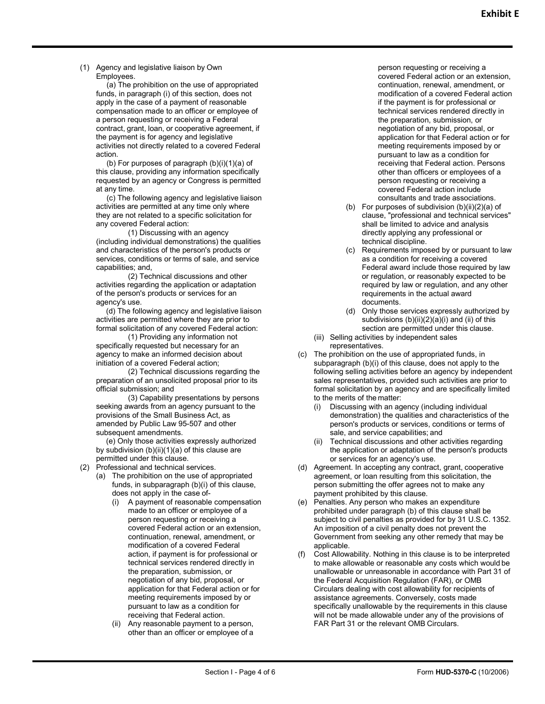(1) Agency and legislative liaison by Own Employees.

(a) The prohibition on the use of appropriated funds, in paragraph (i) of this section, does not apply in the case of a payment of reasonable compensation made to an officer or employee of a person requesting or receiving a Federal contract, grant, loan, or cooperative agreement, if the payment is for agency and legislative activities not directly related to a covered Federal action.

(b) For purposes of paragraph (b)(i)(1)(a) of this clause, providing any information specifically requested by an agency or Congress is permitted at any time.

(c) The following agency and legislative liaison activities are permitted at any time only where they are not related to a specific solicitation for any covered Federal action:

(1) Discussing with an agency (including individual demonstrations) the qualities and characteristics of the person's products or services, conditions or terms of sale, and service capabilities; and,

(2) Technical discussions and other activities regarding the application or adaptation of the person's products or services for an agency's use.

(d) The following agency and legislative liaison activities are permitted where they are prior to formal solicitation of any covered Federal action:

(1) Providing any information not specifically requested but necessary for an agency to make an informed decision about initiation of a covered Federal action;

(2) Technical discussions regarding the preparation of an unsolicited proposal prior to its official submission; and

(3) Capability presentations by persons seeking awards from an agency pursuant to the provisions of the Small Business Act, as amended by Public Law 95-507 and other subsequent amendments.

(e) Only those activities expressly authorized by subdivision (b)(ii)(1)(a) of this clause are permitted under this clause.

- (2) Professional and technical services.
	- (a) The prohibition on the use of appropriated funds, in subparagraph (b)(i) of this clause, does not apply in the case of-
		- (i) A payment of reasonable compensation made to an officer or employee of a person requesting or receiving a covered Federal action or an extension, continuation, renewal, amendment, or modification of a covered Federal action, if payment is for professional or technical services rendered directly in the preparation, submission, or negotiation of any bid, proposal, or application for that Federal action or for meeting requirements imposed by or pursuant to law as a condition for receiving that Federal action.
		- (ii) Any reasonable payment to a person, other than an officer or employee of a

person requesting or receiving a covered Federal action or an extension, continuation, renewal, amendment, or modification of a covered Federal action if the payment is for professional or technical services rendered directly in the preparation, submission, or negotiation of any bid, proposal, or application for that Federal action or for meeting requirements imposed by or pursuant to law as a condition for receiving that Federal action. Persons other than officers or employees of a person requesting or receiving a covered Federal action include consultants and trade associations.

- (b) For purposes of subdivision  $(b)(ii)(2)(a)$  of clause, "professional and technical services" shall be limited to advice and analysis directly applying any professional or technical discipline.
- (c) Requirements imposed by or pursuant to law as a condition for receiving a covered Federal award include those required by law or regulation, or reasonably expected to be required by law or regulation, and any other requirements in the actual award documents.
- (d) Only those services expressly authorized by subdivisions (b)(ii)(2)(a)(i) and (ii) of this section are permitted under this clause.
- (iii) Selling activities by independent sales representatives.
- (c) The prohibition on the use of appropriated funds, in subparagraph (b)(i) of this clause, does not apply to the following selling activities before an agency by independent sales representatives, provided such activities are prior to formal solicitation by an agency and are specifically limited to the merits of the matter:
	- (i) Discussing with an agency (including individual demonstration) the qualities and characteristics of the person's products or services, conditions or terms of sale, and service capabilities; and
	- (ii) Technical discussions and other activities regarding the application or adaptation of the person's products or services for an agency's use.
- (d) Agreement. In accepting any contract, grant, cooperative agreement, or loan resulting from this solicitation, the person submitting the offer agrees not to make any payment prohibited by this clause.
- (e) Penalties. Any person who makes an expenditure prohibited under paragraph (b) of this clause shall be subject to civil penalties as provided for by 31 U.S.C. 1352. An imposition of a civil penalty does not prevent the Government from seeking any other remedy that may be applicable.
- (f) Cost Allowability. Nothing in this clause is to be interpreted to make allowable or reasonable any costs which would be unallowable or unreasonable in accordance with Part 31 of the Federal Acquisition Regulation (FAR), or OMB Circulars dealing with cost allowability for recipients of assistance agreements. Conversely, costs made specifically unallowable by the requirements in this clause will not be made allowable under any of the provisions of FAR Part 31 or the relevant OMB Circulars.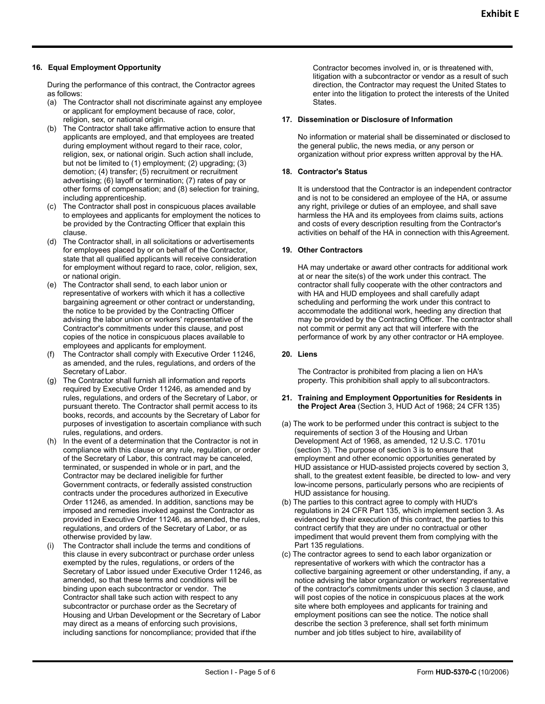#### **16. Equal Employment Opportunity**

During the performance of this contract, the Contractor agrees as follows:

- (a) The Contractor shall not discriminate against any employee or applicant for employment because of race, color, religion, sex, or national origin.
- (b) The Contractor shall take affirmative action to ensure that applicants are employed, and that employees are treated during employment without regard to their race, color, religion, sex, or national origin. Such action shall include, but not be limited to (1) employment; (2) upgrading; (3) demotion; (4) transfer; (5) recruitment or recruitment advertising; (6) layoff or termination; (7) rates of pay or other forms of compensation; and (8) selection for training, including apprenticeship.
- (c) The Contractor shall post in conspicuous places available to employees and applicants for employment the notices to be provided by the Contracting Officer that explain this clause.
- (d) The Contractor shall, in all solicitations or advertisements for employees placed by or on behalf of the Contractor, state that all qualified applicants will receive consideration for employment without regard to race, color, religion, sex, or national origin.
- (e) The Contractor shall send, to each labor union or representative of workers with which it has a collective bargaining agreement or other contract or understanding, the notice to be provided by the Contracting Officer advising the labor union or workers' representative of the Contractor's commitments under this clause, and post copies of the notice in conspicuous places available to employees and applicants for employment.
- (f) The Contractor shall comply with Executive Order 11246, as amended, and the rules, regulations, and orders of the Secretary of Labor.
- (g) The Contractor shall furnish all information and reports required by Executive Order 11246, as amended and by rules, regulations, and orders of the Secretary of Labor, or pursuant thereto. The Contractor shall permit access to its books, records, and accounts by the Secretary of Labor for purposes of investigation to ascertain compliance with such rules, regulations, and orders.
- (h) In the event of a determination that the Contractor is not in compliance with this clause or any rule, regulation, or order of the Secretary of Labor, this contract may be canceled, terminated, or suspended in whole or in part, and the Contractor may be declared ineligible for further Government contracts, or federally assisted construction contracts under the procedures authorized in Executive Order 11246, as amended. In addition, sanctions may be imposed and remedies invoked against the Contractor as provided in Executive Order 11246, as amended, the rules, regulations, and orders of the Secretary of Labor, or as otherwise provided by law.
- (i) The Contractor shall include the terms and conditions of this clause in every subcontract or purchase order unless exempted by the rules, regulations, or orders of the Secretary of Labor issued under Executive Order 11246, as amended, so that these terms and conditions will be binding upon each subcontractor or vendor. The Contractor shall take such action with respect to any subcontractor or purchase order as the Secretary of Housing and Urban Development or the Secretary of Labor may direct as a means of enforcing such provisions, including sanctions for noncompliance; provided that ifthe

Contractor becomes involved in, or is threatened with, litigation with a subcontractor or vendor as a result of such direction, the Contractor may request the United States to enter into the litigation to protect the interests of the United States.

#### **17. Dissemination or Disclosure of Information**

No information or material shall be disseminated or disclosed to the general public, the news media, or any person or organization without prior express written approval by the HA.

#### **18. Contractor's Status**

It is understood that the Contractor is an independent contractor and is not to be considered an employee of the HA, or assume any right, privilege or duties of an employee, and shall save harmless the HA and its employees from claims suits, actions and costs of every description resulting from the Contractor's activities on behalf of the HA in connection with thisAgreement.

#### **19. Other Contractors**

HA may undertake or award other contracts for additional work at or near the site(s) of the work under this contract. The contractor shall fully cooperate with the other contractors and with HA and HUD employees and shall carefully adapt scheduling and performing the work under this contract to accommodate the additional work, heeding any direction that may be provided by the Contracting Officer. The contractor shall not commit or permit any act that will interfere with the performance of work by any other contractor or HA employee.

#### **20. Liens**

The Contractor is prohibited from placing a lien on HA's property. This prohibition shall apply to all subcontractors.

#### **21. Training and Employment Opportunities for Residents in the Project Area** (Section 3, HUD Act of 1968; 24 CFR 135)

- (a) The work to be performed under this contract is subject to the requirements of section 3 of the Housing and Urban Development Act of 1968, as amended, 12 U.S.C. 1701u (section 3). The purpose of section 3 is to ensure that employment and other economic opportunities generated by HUD assistance or HUD-assisted projects covered by section 3, shall, to the greatest extent feasible, be directed to low- and very low-income persons, particularly persons who are recipients of HUD assistance for housing.
- (b) The parties to this contract agree to comply with HUD's regulations in 24 CFR Part 135, which implement section 3. As evidenced by their execution of this contract, the parties to this contract certify that they are under no contractual or other impediment that would prevent them from complying with the Part 135 regulations.
- (c) The contractor agrees to send to each labor organization or representative of workers with which the contractor has a collective bargaining agreement or other understanding, if any, a notice advising the labor organization or workers' representative of the contractor's commitments under this section 3 clause, and will post copies of the notice in conspicuous places at the work site where both employees and applicants for training and employment positions can see the notice. The notice shall describe the section 3 preference, shall set forth minimum number and job titles subject to hire, availability of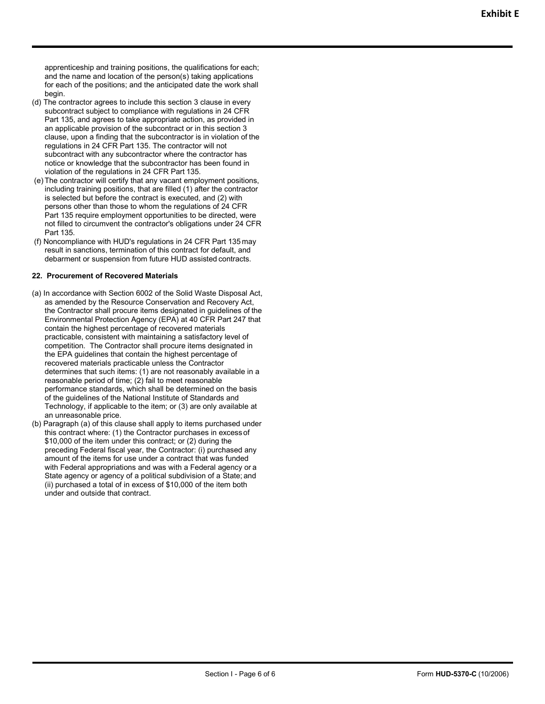apprenticeship and training positions, the qualifications for each; and the name and location of the person(s) taking applications for each of the positions; and the anticipated date the work shall begin.

- (d) The contractor agrees to include this section 3 clause in every subcontract subject to compliance with regulations in 24 CFR Part 135, and agrees to take appropriate action, as provided in an applicable provision of the subcontract or in this section 3 clause, upon a finding that the subcontractor is in violation of the regulations in 24 CFR Part 135. The contractor will not subcontract with any subcontractor where the contractor has notice or knowledge that the subcontractor has been found in violation of the regulations in 24 CFR Part 135.
- (e) The contractor will certify that any vacant employment positions, including training positions, that are filled (1) after the contractor is selected but before the contract is executed, and (2) with persons other than those to whom the regulations of 24 CFR Part 135 require employment opportunities to be directed, were not filled to circumvent the contractor's obligations under 24 CFR Part 135.
- (f) Noncompliance with HUD's regulations in 24 CFR Part 135 may result in sanctions, termination of this contract for default, and debarment or suspension from future HUD assisted contracts.

#### **22. Procurement of Recovered Materials**

- (a) In accordance with Section 6002 of the Solid Waste Disposal Act, as amended by the Resource Conservation and Recovery Act, the Contractor shall procure items designated in guidelines of the Environmental Protection Agency (EPA) at 40 CFR Part 247 that contain the highest percentage of recovered materials practicable, consistent with maintaining a satisfactory level of competition. The Contractor shall procure items designated in the EPA guidelines that contain the highest percentage of recovered materials practicable unless the Contractor determines that such items: (1) are not reasonably available in a reasonable period of time; (2) fail to meet reasonable performance standards, which shall be determined on the basis of the guidelines of the National Institute of Standards and Technology, if applicable to the item; or (3) are only available at an unreasonable price.
- (b) Paragraph (a) of this clause shall apply to items purchased under this contract where: (1) the Contractor purchases in excessof \$10,000 of the item under this contract; or (2) during the preceding Federal fiscal year, the Contractor: (i) purchased any amount of the items for use under a contract that was funded with Federal appropriations and was with a Federal agency or a State agency or agency of a political subdivision of a State; and (ii) purchased a total of in excess of \$10,000 of the item both under and outside that contract.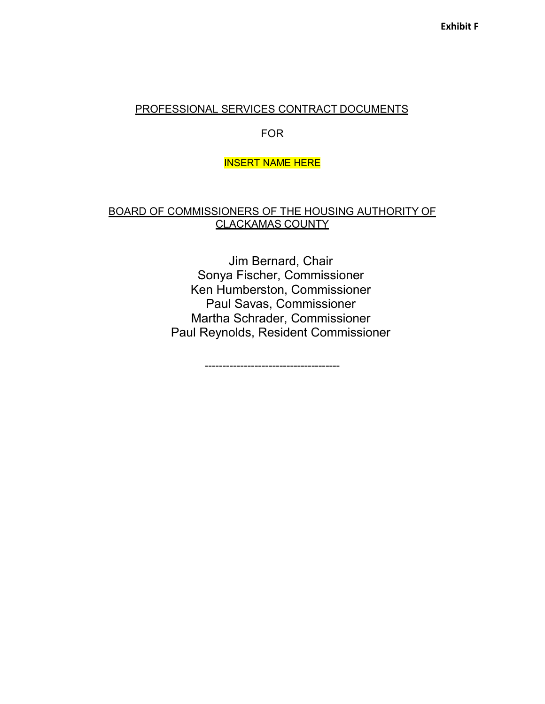**Exhibit F**

## PROFESSIONAL SERVICES CONTRACT DOCUMENTS

FOR

## INSERT NAME HERE

## BOARD OF COMMISSIONERS OF THE HOUSING AUTHORITY OF CLACKAMAS COUNTY

Jim Bernard, Chair Sonya Fischer, Commissioner Ken Humberston, Commissioner Paul Savas, Commissioner Martha Schrader, Commissioner Paul Reynolds, Resident Commissioner

--------------------------------------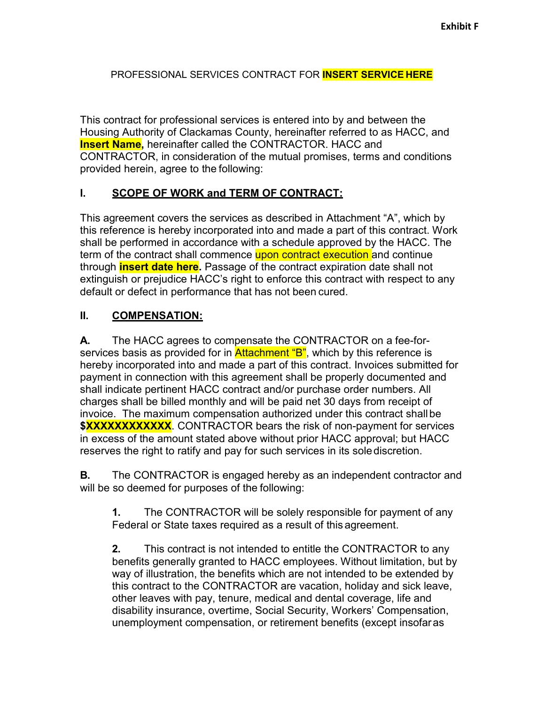## PROFESSIONAL SERVICES CONTRACT FOR **INSERT SERVICE HERE**

This contract for professional services is entered into by and between the Housing Authority of Clackamas County, hereinafter referred to as HACC, and **Insert Name,** hereinafter called the CONTRACTOR. HACC and CONTRACTOR, in consideration of the mutual promises, terms and conditions provided herein, agree to the following:

## **I. SCOPE OF WORK and TERM OF CONTRACT:**

This agreement covers the services as described in Attachment "A", which by this reference is hereby incorporated into and made a part of this contract. Work shall be performed in accordance with a schedule approved by the HACC. The term of the contract shall commence upon contract execution and continue through **insert date here.** Passage of the contract expiration date shall not extinguish or prejudice HACC's right to enforce this contract with respect to any default or defect in performance that has not been cured.

## **II. COMPENSATION:**

**A.** The HACC agrees to compensate the CONTRACTOR on a fee-forservices basis as provided for in **Attachment "B"**, which by this reference is hereby incorporated into and made a part of this contract. Invoices submitted for payment in connection with this agreement shall be properly documented and shall indicate pertinent HACC contract and/or purchase order numbers. All charges shall be billed monthly and will be paid net 30 days from receipt of invoice. The maximum compensation authorized under this contract shallbe **\$XXXXXXXXXXXX**. CONTRACTOR bears the risk of non-payment for services in excess of the amount stated above without prior HACC approval; but HACC reserves the right to ratify and pay for such services in its solediscretion.

**B.** The CONTRACTOR is engaged hereby as an independent contractor and will be so deemed for purposes of the following:

**1.** The CONTRACTOR will be solely responsible for payment of any Federal or State taxes required as a result of this agreement.

**2.** This contract is not intended to entitle the CONTRACTOR to any benefits generally granted to HACC employees. Without limitation, but by way of illustration, the benefits which are not intended to be extended by this contract to the CONTRACTOR are vacation, holiday and sick leave, other leaves with pay, tenure, medical and dental coverage, life and disability insurance, overtime, Social Security, Workers' Compensation, unemployment compensation, or retirement benefits (except insofaras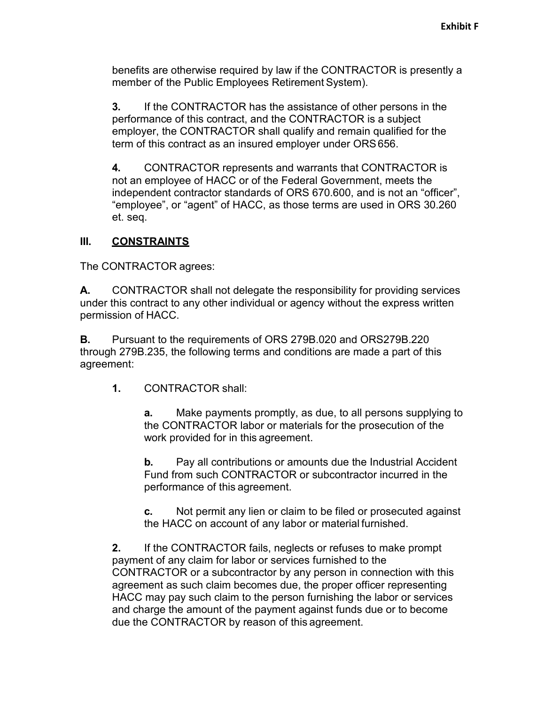benefits are otherwise required by law if the CONTRACTOR is presently a member of the Public Employees Retirement System).

**3.** If the CONTRACTOR has the assistance of other persons in the performance of this contract, and the CONTRACTOR is a subject employer, the CONTRACTOR shall qualify and remain qualified for the term of this contract as an insured employer under ORS 656.

**4.** CONTRACTOR represents and warrants that CONTRACTOR is not an employee of HACC or of the Federal Government, meets the independent contractor standards of ORS 670.600, and is not an "officer", "employee", or "agent" of HACC, as those terms are used in ORS 30.260 et. seq.

## **III. CONSTRAINTS**

The CONTRACTOR agrees:

**A.** CONTRACTOR shall not delegate the responsibility for providing services under this contract to any other individual or agency without the express written permission of HACC.

**B.** Pursuant to the requirements of ORS 279B.020 and ORS279B.220 through 279B.235, the following terms and conditions are made a part of this agreement:

**1.** CONTRACTOR shall:

**a.** Make payments promptly, as due, to all persons supplying to the CONTRACTOR labor or materials for the prosecution of the work provided for in this agreement.

**b.** Pay all contributions or amounts due the Industrial Accident Fund from such CONTRACTOR or subcontractor incurred in the performance of this agreement.

**c.** Not permit any lien or claim to be filed or prosecuted against the HACC on account of any labor or material furnished.

**2.** If the CONTRACTOR fails, neglects or refuses to make prompt payment of any claim for labor or services furnished to the CONTRACTOR or a subcontractor by any person in connection with this agreement as such claim becomes due, the proper officer representing HACC may pay such claim to the person furnishing the labor or services and charge the amount of the payment against funds due or to become due the CONTRACTOR by reason of this agreement.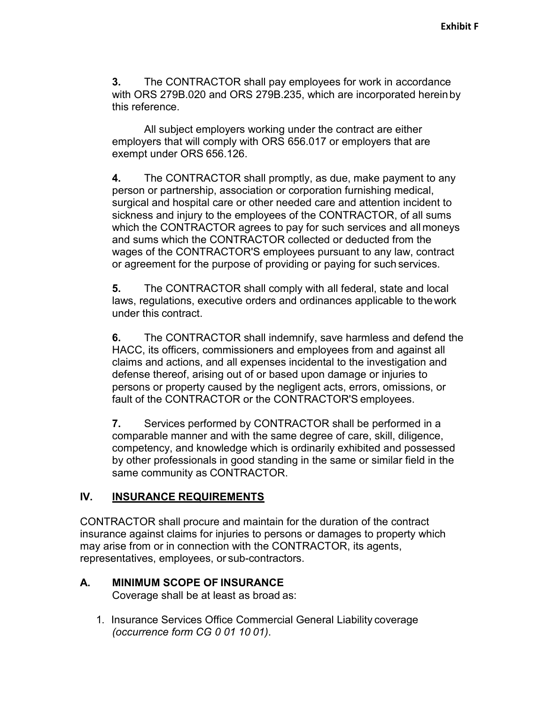**3.** The CONTRACTOR shall pay employees for work in accordance with ORS 279B.020 and ORS 279B.235, which are incorporated hereinby this reference.

All subject employers working under the contract are either employers that will comply with ORS 656.017 or employers that are exempt under ORS 656.126.

**4.** The CONTRACTOR shall promptly, as due, make payment to any person or partnership, association or corporation furnishing medical, surgical and hospital care or other needed care and attention incident to sickness and injury to the employees of the CONTRACTOR, of all sums which the CONTRACTOR agrees to pay for such services and all moneys and sums which the CONTRACTOR collected or deducted from the wages of the CONTRACTOR'S employees pursuant to any law, contract or agreement for the purpose of providing or paying for such services.

**5.** The CONTRACTOR shall comply with all federal, state and local laws, regulations, executive orders and ordinances applicable to thework under this contract.

**6.** The CONTRACTOR shall indemnify, save harmless and defend the HACC, its officers, commissioners and employees from and against all claims and actions, and all expenses incidental to the investigation and defense thereof, arising out of or based upon damage or injuries to persons or property caused by the negligent acts, errors, omissions, or fault of the CONTRACTOR or the CONTRACTOR'S employees.

**7.** Services performed by CONTRACTOR shall be performed in a comparable manner and with the same degree of care, skill, diligence, competency, and knowledge which is ordinarily exhibited and possessed by other professionals in good standing in the same or similar field in the same community as CONTRACTOR.

## **IV. INSURANCE REQUIREMENTS**

CONTRACTOR shall procure and maintain for the duration of the contract insurance against claims for injuries to persons or damages to property which may arise from or in connection with the CONTRACTOR, its agents, representatives, employees, or sub-contractors.

## **A. MINIMUM SCOPE OF INSURANCE** Coverage shall be at least as broad as:

1. Insurance Services Office Commercial General Liability coverage *(occurrence form CG 0 01 10 01)*.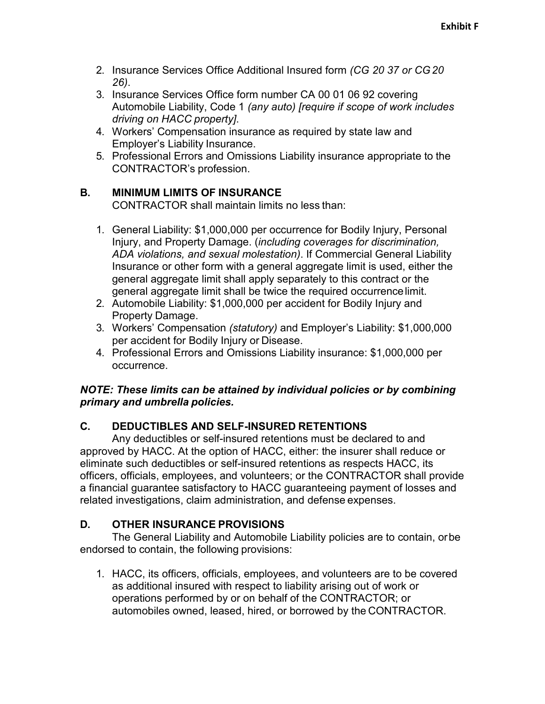- 2. Insurance Services Office Additional Insured form *(CG 20 37 or CG20 26)*.
- 3. Insurance Services Office form number CA 00 01 06 92 covering Automobile Liability, Code 1 *(any auto) [require if scope of work includes driving on HACC property]*.
- 4. Workers' Compensation insurance as required by state law and Employer's Liability Insurance.
- 5. Professional Errors and Omissions Liability insurance appropriate to the CONTRACTOR's profession.

## **B. MINIMUM LIMITS OF INSURANCE**

CONTRACTOR shall maintain limits no less than:

- 1. General Liability: \$1,000,000 per occurrence for Bodily Injury, Personal Injury, and Property Damage. (*including coverages for discrimination, ADA violations, and sexual molestation)*. If Commercial General Liability Insurance or other form with a general aggregate limit is used, either the general aggregate limit shall apply separately to this contract or the general aggregate limit shall be twice the required occurrencelimit.
- 2. Automobile Liability: \$1,000,000 per accident for Bodily Injury and Property Damage.
- 3. Workers' Compensation *(statutory)* and Employer's Liability: \$1,000,000 per accident for Bodily Injury or Disease.
- 4. Professional Errors and Omissions Liability insurance: \$1,000,000 per occurrence.

## *NOTE: These limits can be attained by individual policies or by combining primary and umbrella policies.*

# **C. DEDUCTIBLES AND SELF-INSURED RETENTIONS**

Any deductibles or self-insured retentions must be declared to and approved by HACC. At the option of HACC, either: the insurer shall reduce or eliminate such deductibles or self-insured retentions as respects HACC, its officers, officials, employees, and volunteers; or the CONTRACTOR shall provide a financial guarantee satisfactory to HACC guaranteeing payment of losses and related investigations, claim administration, and defense expenses.

# **D. OTHER INSURANCE PROVISIONS**

The General Liability and Automobile Liability policies are to contain, orbe endorsed to contain, the following provisions:

1. HACC, its officers, officials, employees, and volunteers are to be covered as additional insured with respect to liability arising out of work or operations performed by or on behalf of the CONTRACTOR; or automobiles owned, leased, hired, or borrowed by the CONTRACTOR.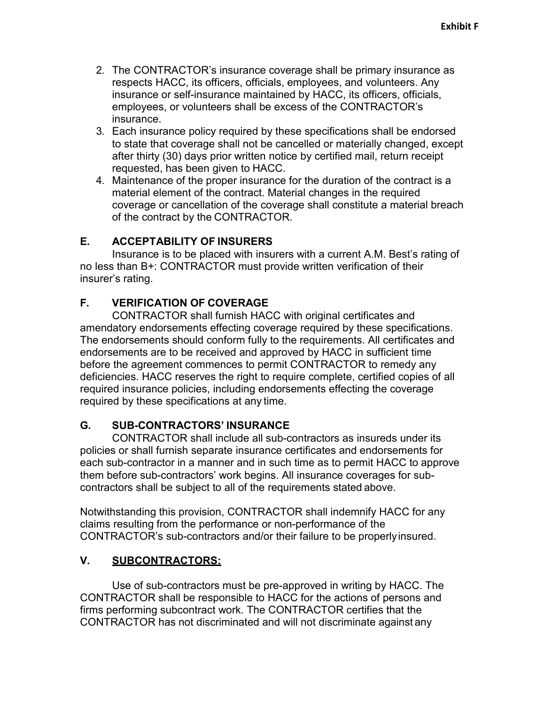- 2. The CONTRACTOR's insurance coverage shall be primary insurance as respects HACC, its officers, officials, employees, and volunteers. Any insurance or self-insurance maintained by HACC, its officers, officials, employees, or volunteers shall be excess of the CONTRACTOR's insurance.
- 3. Each insurance policy required by these specifications shall be endorsed to state that coverage shall not be cancelled or materially changed, except after thirty (30) days prior written notice by certified mail, return receipt requested, has been given to HACC.
- 4. Maintenance of the proper insurance for the duration of the contract is a material element of the contract. Material changes in the required coverage or cancellation of the coverage shall constitute a material breach of the contract by the CONTRACTOR.

## **E. ACCEPTABILITY OF INSURERS**

Insurance is to be placed with insurers with a current A.M. Best's rating of no less than B+: CONTRACTOR must provide written verification of their insurer's rating.

# **F. VERIFICATION OF COVERAGE**

CONTRACTOR shall furnish HACC with original certificates and amendatory endorsements effecting coverage required by these specifications. The endorsements should conform fully to the requirements. All certificates and endorsements are to be received and approved by HACC in sufficient time before the agreement commences to permit CONTRACTOR to remedy any deficiencies. HACC reserves the right to require complete, certified copies of all required insurance policies, including endorsements effecting the coverage required by these specifications at any time.

# **G. SUB-CONTRACTORS' INSURANCE**

CONTRACTOR shall include all sub-contractors as insureds under its policies or shall furnish separate insurance certificates and endorsements for each sub-contractor in a manner and in such time as to permit HACC to approve them before sub-contractors' work begins. All insurance coverages for subcontractors shall be subject to all of the requirements stated above.

Notwithstanding this provision, CONTRACTOR shall indemnify HACC for any claims resulting from the performance or non-performance of the CONTRACTOR's sub-contractors and/or their failure to be properlyinsured.

# **V. SUBCONTRACTORS:**

Use of sub-contractors must be pre-approved in writing by HACC. The CONTRACTOR shall be responsible to HACC for the actions of persons and firms performing subcontract work. The CONTRACTOR certifies that the CONTRACTOR has not discriminated and will not discriminate against any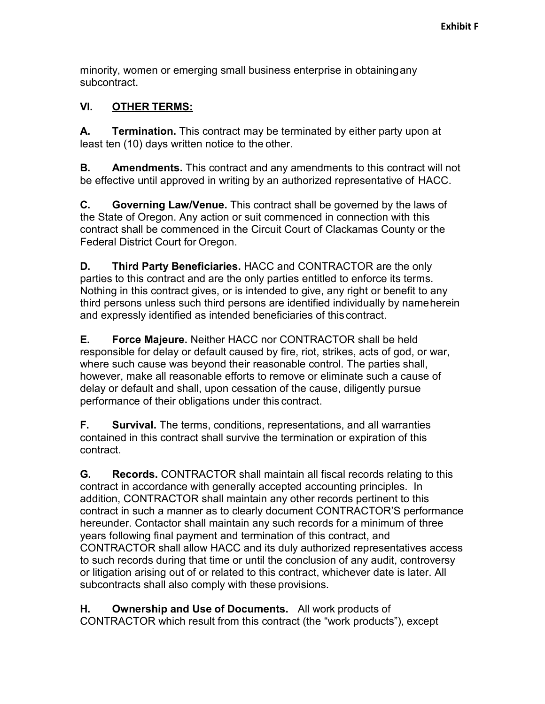minority, women or emerging small business enterprise in obtainingany subcontract.

# **VI. OTHER TERMS:**

**A. Termination.** This contract may be terminated by either party upon at least ten (10) days written notice to the other.

**B. Amendments.** This contract and any amendments to this contract will not be effective until approved in writing by an authorized representative of HACC.

**C. Governing Law/Venue.** This contract shall be governed by the laws of the State of Oregon. Any action or suit commenced in connection with this contract shall be commenced in the Circuit Court of Clackamas County or the Federal District Court for Oregon.

**D. Third Party Beneficiaries.** HACC and CONTRACTOR are the only parties to this contract and are the only parties entitled to enforce its terms. Nothing in this contract gives, or is intended to give, any right or benefit to any third persons unless such third persons are identified individually by nameherein and expressly identified as intended beneficiaries of this contract.

**E. Force Majeure.** Neither HACC nor CONTRACTOR shall be held responsible for delay or default caused by fire, riot, strikes, acts of god, or war, where such cause was beyond their reasonable control. The parties shall, however, make all reasonable efforts to remove or eliminate such a cause of delay or default and shall, upon cessation of the cause, diligently pursue performance of their obligations under this contract.

**F. Survival.** The terms, conditions, representations, and all warranties contained in this contract shall survive the termination or expiration of this contract.

**G. Records.** CONTRACTOR shall maintain all fiscal records relating to this contract in accordance with generally accepted accounting principles. In addition, CONTRACTOR shall maintain any other records pertinent to this contract in such a manner as to clearly document CONTRACTOR'S performance hereunder. Contactor shall maintain any such records for a minimum of three years following final payment and termination of this contract, and CONTRACTOR shall allow HACC and its duly authorized representatives access to such records during that time or until the conclusion of any audit, controversy or litigation arising out of or related to this contract, whichever date is later. All subcontracts shall also comply with these provisions.

**H. Ownership and Use of Documents.** All work products of CONTRACTOR which result from this contract (the "work products"), except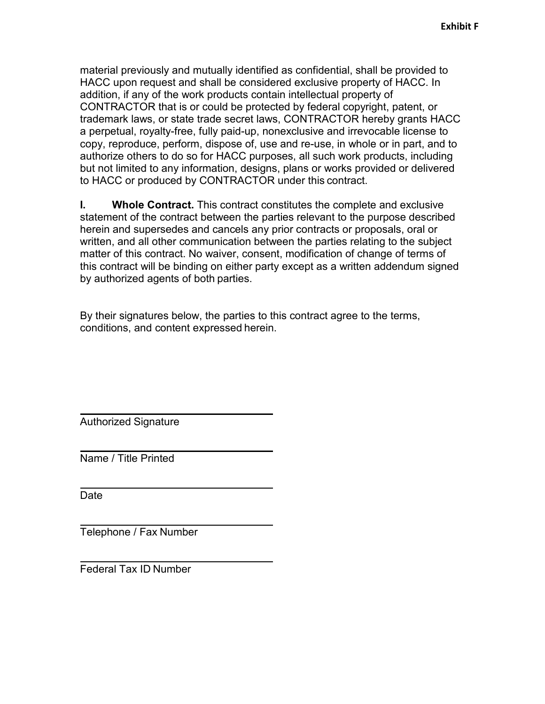material previously and mutually identified as confidential, shall be provided to HACC upon request and shall be considered exclusive property of HACC. In addition, if any of the work products contain intellectual property of CONTRACTOR that is or could be protected by federal copyright, patent, or trademark laws, or state trade secret laws, CONTRACTOR hereby grants HACC a perpetual, royalty-free, fully paid-up, nonexclusive and irrevocable license to copy, reproduce, perform, dispose of, use and re-use, in whole or in part, and to authorize others to do so for HACC purposes, all such work products, including but not limited to any information, designs, plans or works provided or delivered to HACC or produced by CONTRACTOR under this contract.

**I. Whole Contract.** This contract constitutes the complete and exclusive statement of the contract between the parties relevant to the purpose described herein and supersedes and cancels any prior contracts or proposals, oral or written, and all other communication between the parties relating to the subject matter of this contract. No waiver, consent, modification of change of terms of this contract will be binding on either party except as a written addendum signed by authorized agents of both parties.

By their signatures below, the parties to this contract agree to the terms, conditions, and content expressed herein.

Authorized Signature

Name / Title Printed

Date

Telephone / Fax Number

Federal Tax ID Number